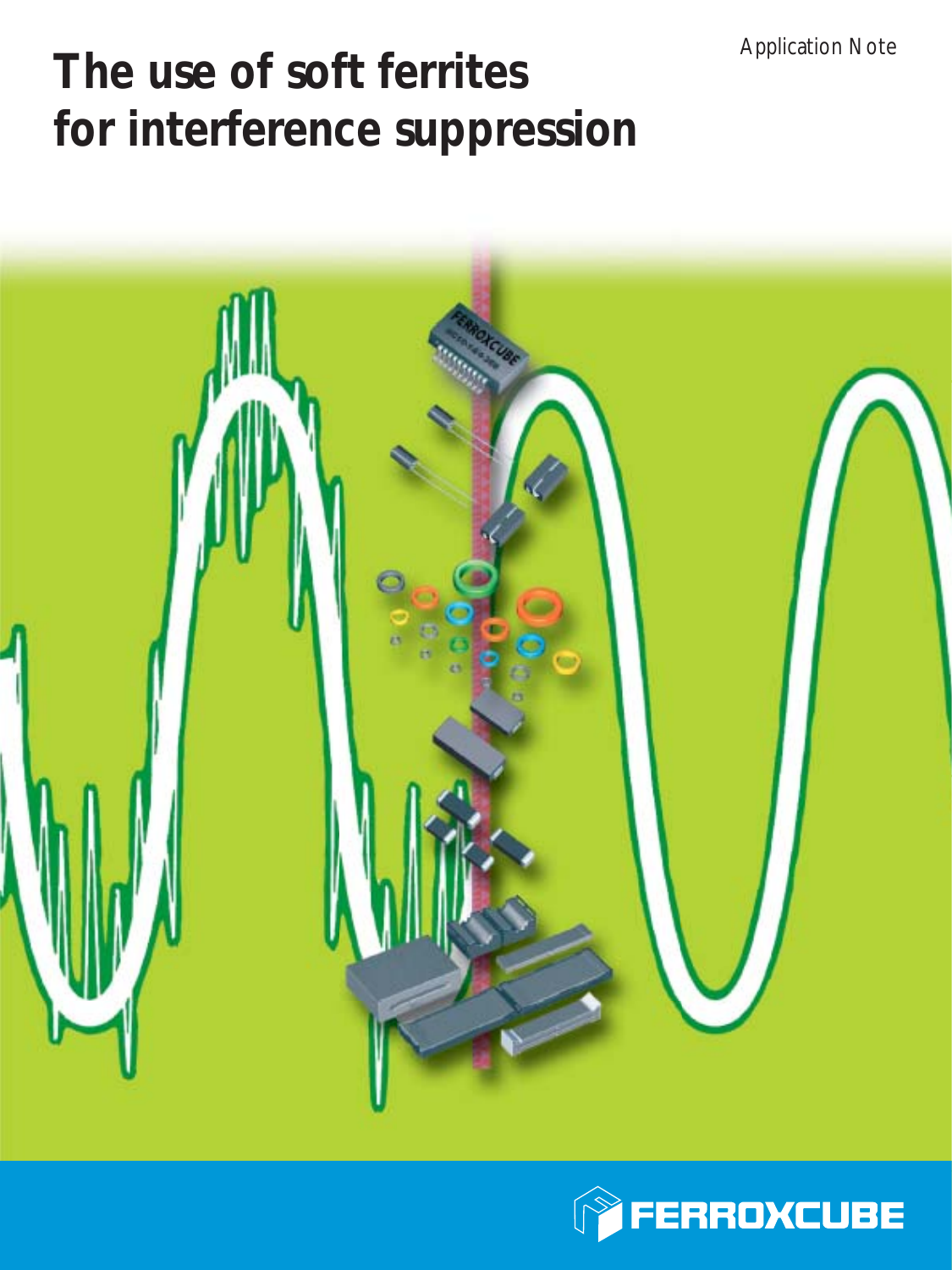# Application Note *The use of soft ferrites for interference suppression*



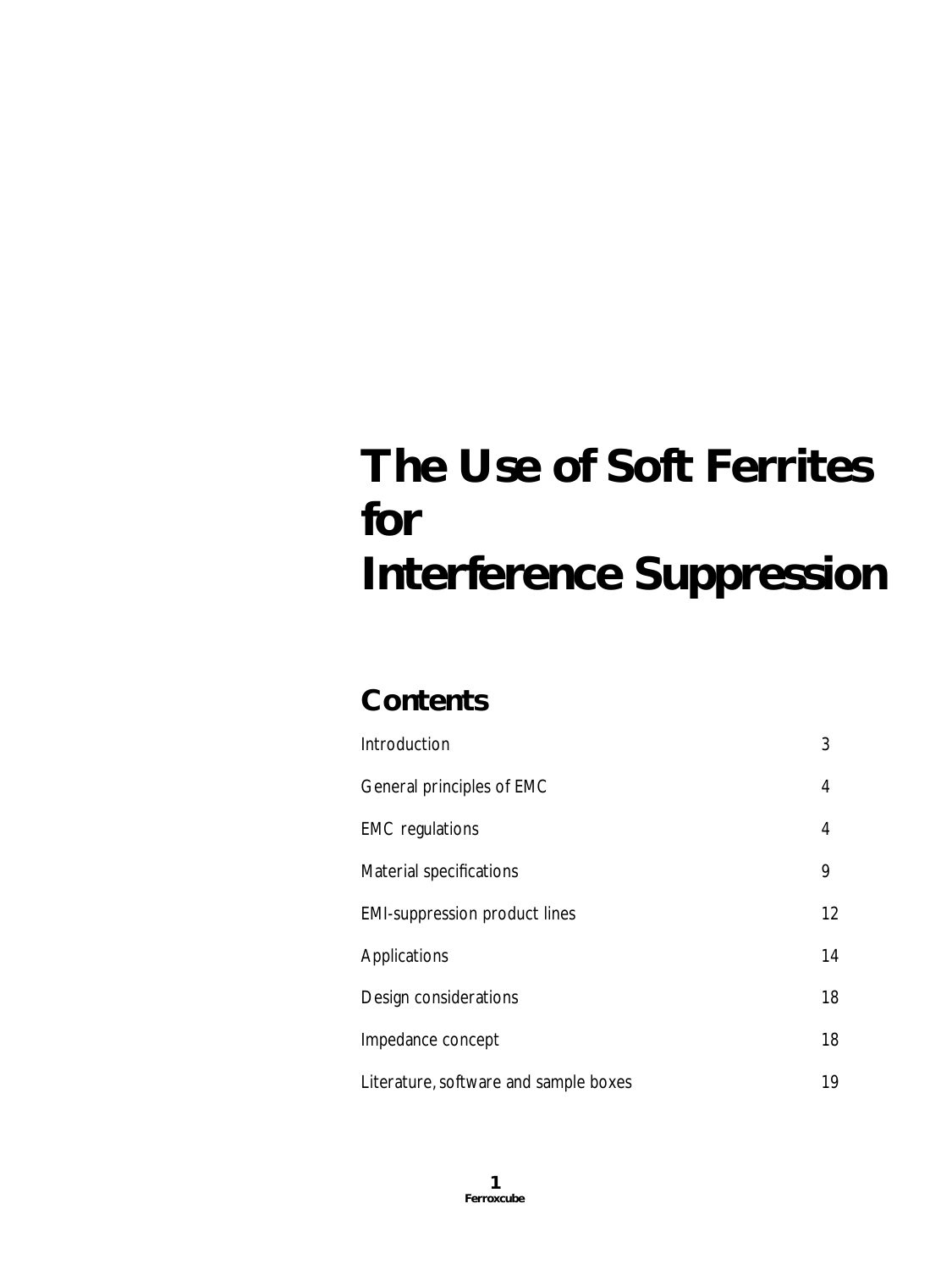# **The Use of Soft Ferrites for Interference Suppression**

# **Contents**

| Introduction                          | 3  |
|---------------------------------------|----|
| General principles of EMC             | 4  |
| <b>EMC</b> regulations                | 4  |
| Material specifications               | 9  |
| <b>EMI-suppression product lines</b>  | 12 |
| <b>Applications</b>                   | 14 |
| Design considerations                 | 18 |
| Impedance concept                     | 18 |
| Literature, software and sample boxes | 19 |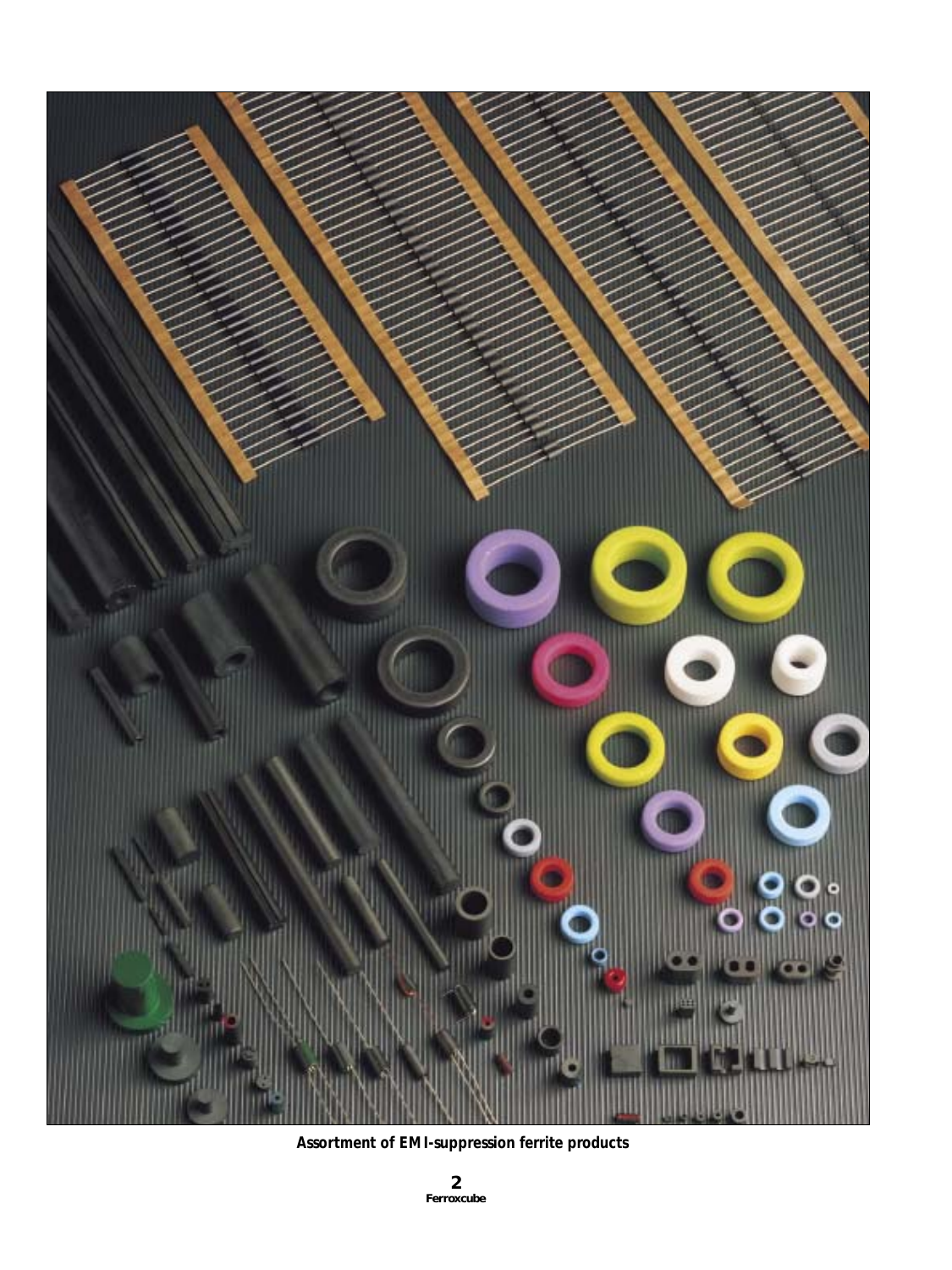

*Assortment of EMI-suppression ferrite products*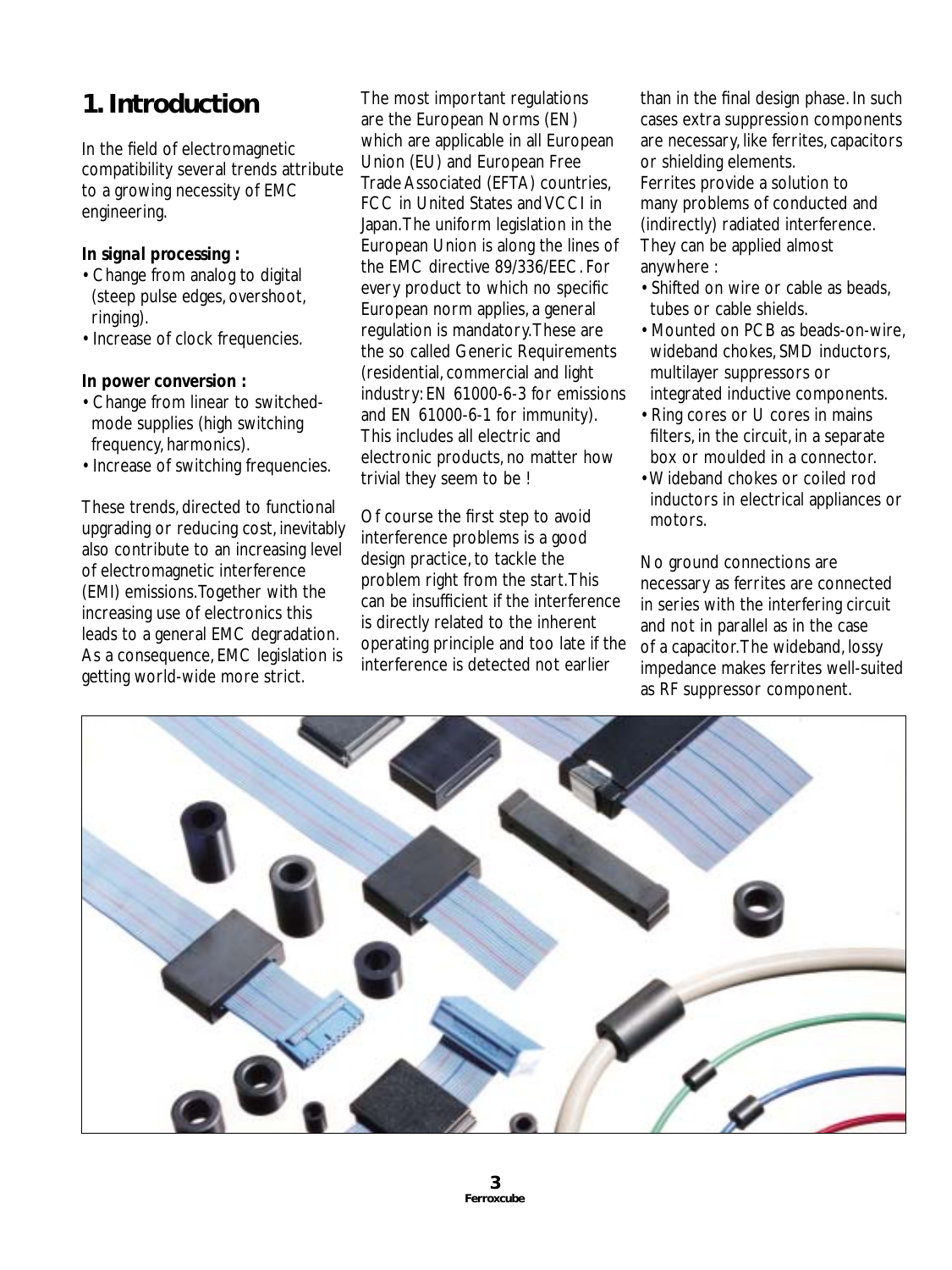### **1. Introduction**

In the field of electromagnetic compatibility several trends attribute to a growing necessity of EMC engineering.

#### *In signal processing :*

- Change from analog to digital (steep pulse edges, overshoot, ringing).
- Increase of clock frequencies.

#### *In power conversion :*

- Change from linear to switched mode supplies (high switching frequency, harmonics).
- Increase of switching frequencies.

These trends, directed to functional upgrading or reducing cost, inevitably also contribute to an increasing level of electromagnetic interference (EMI) emissions. Together with the increasing use of electronics this leads to a general EMC degradation. As a consequence, EMC legislation is getting world-wide more strict.

The most important regulations are the European Norms (EN) which are applicable in all European Union (EU) and European Free Trade Associated (EFTA) countries, FCC in United States and VCCI in Japan. The uniform legislation in the European Union is along the lines of the EMC directive 89/336/EEC. For every product to which no specific European norm applies, a general regulation is mandatory. These are the so called Generic Requirements (residential, commercial and light industry: EN 61000-6-3 for emissions and EN 61000-6-1 for immunity). This includes all electric and electronic products, no matter how trivial they seem to be !

Of course the first step to avoid interference problems is a good design practice, to tackle the problem right from the start. This can be insufficient if the interference is directly related to the inherent operating principle and too late if the interference is detected not earlier

than in the final design phase. In such cases extra suppression components are necessary, like ferrites, capacitors or shielding elements. Ferrites provide a solution to many problems of conducted and (indirectly) radiated interference. They can be applied almost anywhere :

- Shifted on wire or cable as beads, tubes or cable shields.
- Mounted on PCB as beads-on-wire, wideband chokes, SMD inductors, multilayer suppressors or integrated inductive components.
- Ring cores or U cores in mains filters, in the circuit, in a separate box or moulded in a connector.
- Wideband chokes or coiled rod inductors in electrical appliances or motors.

No ground connections are necessary as ferrites are connected in series with the interfering circuit and not in parallel as in the case of a capacitor. The wideband, lossy impedance makes ferrites well-suited as RF suppressor component.

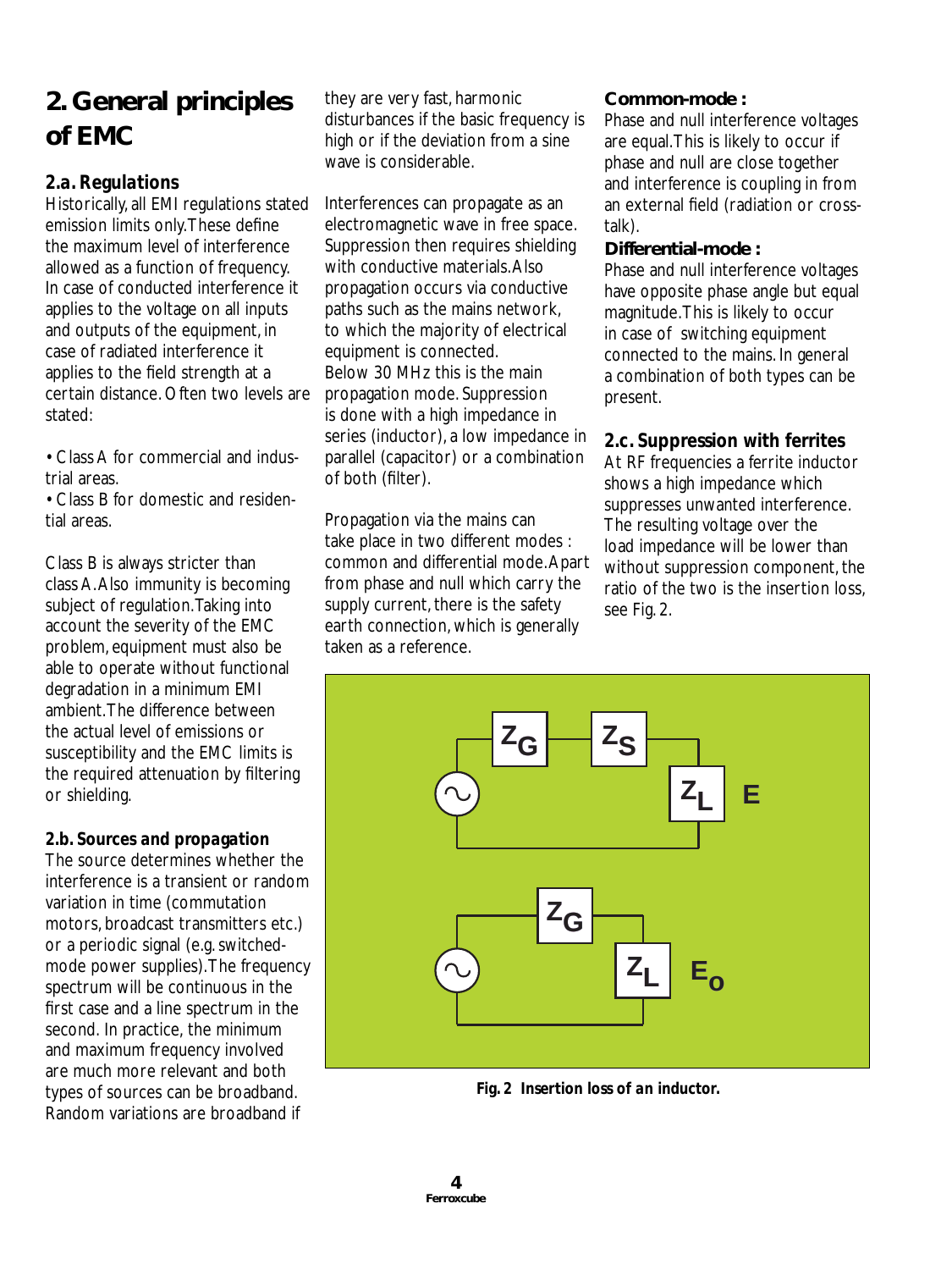# **2. General principles of EMC**

#### *2.a. Regulations*

Historically, all EMI regulations stated emission limits only. These define the maximum level of interference allowed as a function of frequency. In case of conducted interference it applies to the voltage on all inputs and outputs of the equipment, in case of radiated interference it applies to the field strength at a certain distance. Often two levels are stated:

• Class A for commercial and industrial areas.

• Class B for domestic and residential areas.

Class B is always stricter than class A. Also immunity is becoming subject of regulation. Taking into account the severity of the EMC problem, equipment must also be able to operate without functional degradation in a minimum EMI ambient. The difference between the actual level of emissions or susceptibility and the EMC limits is the required attenuation by filtering or shielding.

#### *2.b. Sources and propagation*

The source determines whether the interference is a transient or random variation in time (commutation motors, broadcast transmitters etc.) or a periodic signal (e.g. switchedmode power supplies). The frequency spectrum will be continuous in the first case and a line spectrum in the second. In practice, the minimum and maximum frequency involved are much more relevant and both types of sources can be broadband. Random variations are broadband if

they are very fast, harmonic disturbances if the basic frequency is high or if the deviation from a sine wave is considerable.

Interferences can propagate as an electromagnetic wave in free space. Suppression then requires shielding with conductive materials. Also propagation occurs via conductive paths such as the mains network, to which the majority of electrical equipment is connected. Below 30 MHz this is the main propagation mode. Suppression is done with a high impedance in series (inductor), a low impedance in parallel (capacitor) or a combination of both (filter).

Propagation via the mains can take place in two different modes : common and differential mode. Apart from phase and null which carry the supply current, there is the safety earth connection, which is generally taken as a reference.

#### **Common-mode :**

Phase and null interference voltages are equal. This is likely to occur if phase and null are close together and interference is coupling in from an external field (radiation or crosstalk).

#### **Differential-mode :**

Phase and null interference voltages have opposite phase angle but equal magnitude. This is likely to occur in case of switching equipment connected to the mains. In general a combination of both types can be present.

#### *2.c. Suppression with ferrites*

At RF frequencies a ferrite inductor shows a high impedance which suppresses unwanted interference. The resulting voltage over the load impedance will be lower than without suppression component, the ratio of the two is the insertion loss, see Fig. 2.



*Fig. 2 Insertion loss of an inductor.*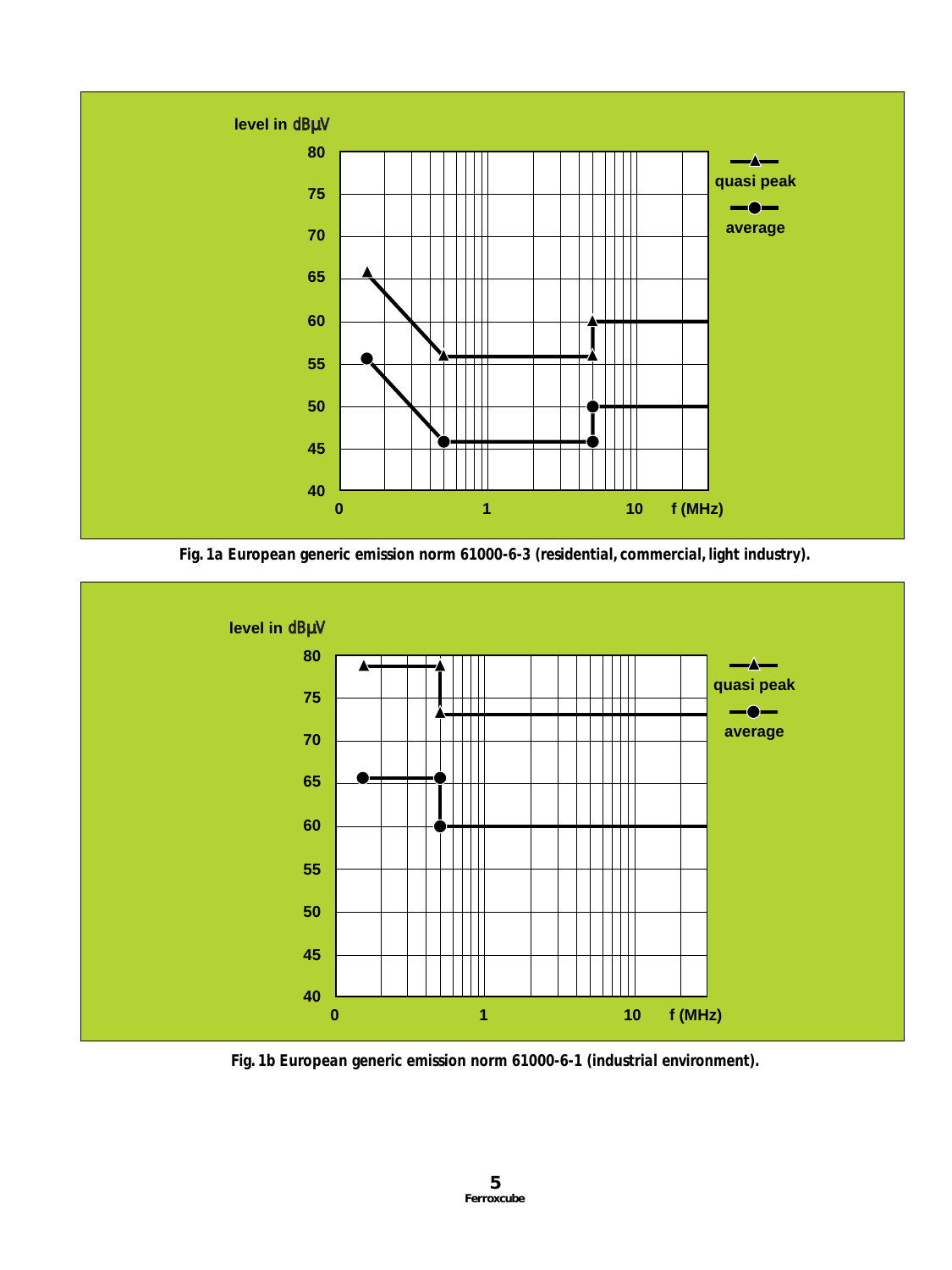

*Fig. 1a European generic emission norm 61000-6-3 (residential, commercial, light industry).*



*Fig. 1b European generic emission norm 61000-6-1 (industrial environment).*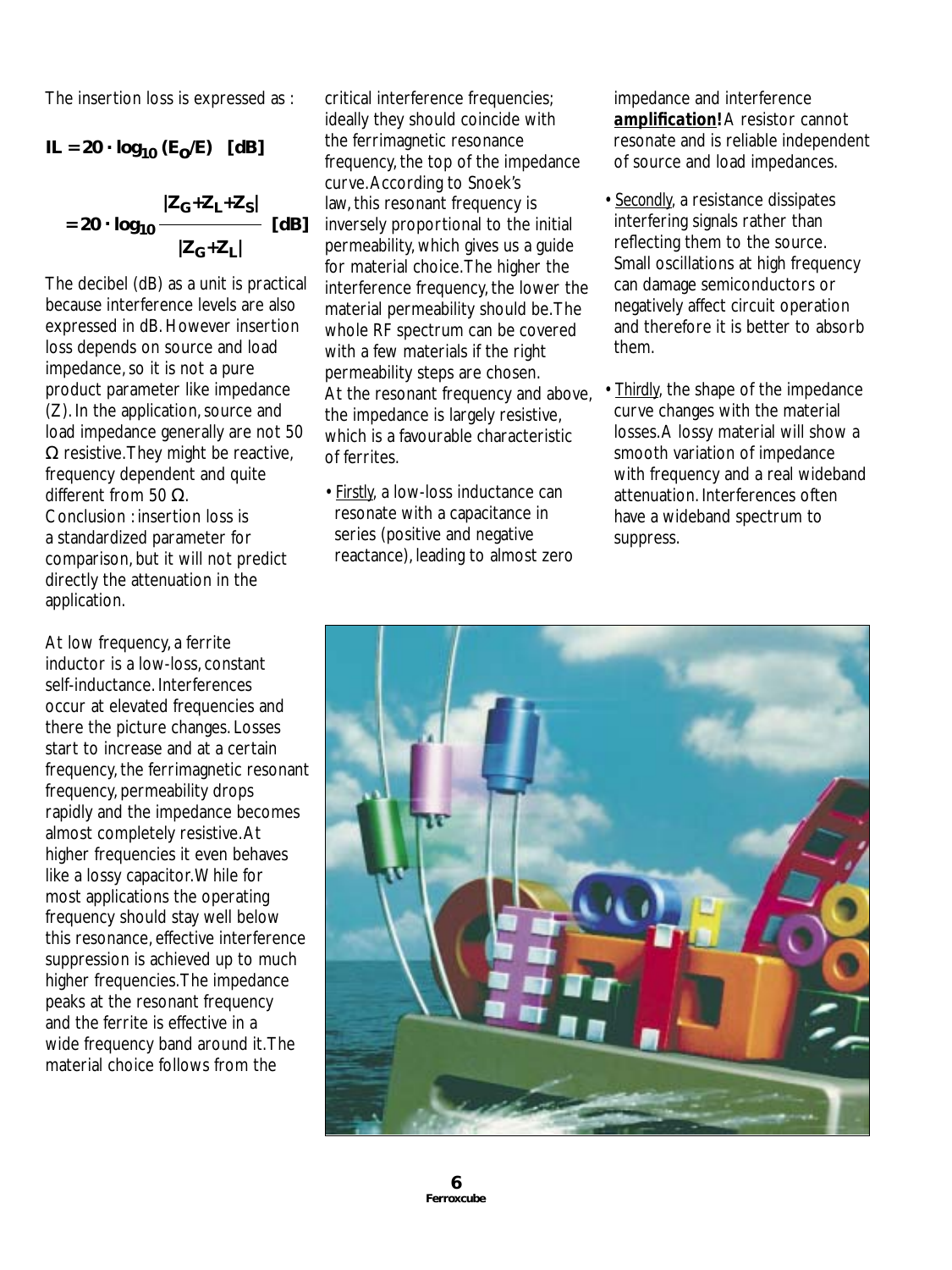The insertion loss is expressed as :

### $IL = 20 \cdot log_{10} (E_0/E)$  [dB]

$$
= 20 \cdot \log_{10} \frac{|Z_{G} + Z_{L} + Z_{S}|}{|Z_{G} + Z_{L}|}
$$
 [dB]

The decibel (dB) as a unit is practical because interference levels are also expressed in dB. However insertion loss depends on source and load impedance, so it is not a pure product parameter like impedance (Z). In the application, source and load impedance generally are not 50  $\Omega$  resistive. They might be reactive, frequency dependent and quite different from 50  $Ω$ . Conclusion : insertion loss is a standardized parameter for comparison, but it will not predict directly the attenuation in the application.

At low frequency, a ferrite inductor is a low-loss, constant self-inductance. Interferences occur at elevated frequencies and there the picture changes. Losses start to increase and at a certain frequency, the ferrimagnetic resonant frequency, permeability drops rapidly and the impedance becomes almost completely resistive. At higher frequencies it even behaves like a lossy capacitor. While for most applications the operating frequency should stay well below this resonance, effective interference suppression is achieved up to much higher frequencies. The impedance peaks at the resonant frequency and the ferrite is effective in a wide frequency band around it. The material choice follows from the

critical interference frequencies; ideally they should coincide with the ferrimagnetic resonance frequency, the top of the impedance curve. According to Snoek's law, this resonant frequency is inversely proportional to the initial permeability, which gives us a guide for material choice. The higher the interference frequency, the lower the material permeability should be. The whole RF spectrum can be covered with a few materials if the right permeability steps are chosen. At the resonant frequency and above, the impedance is largely resistive, which is a favourable characteristic of ferrites.

• *Firstly,* a low-loss inductance can resonate with a capacitance in series (positive and negative reactance), leading to almost zero

 impedance and interference amplification! A resistor cannot resonate and is reliable independent of source and load impedances.

- *Secondly,* a resistance dissipates interfering signals rather than reflecting them to the source. Small oscillations at high frequency can damage semiconductors or negatively affect circuit operation and therefore it is better to absorb them.
- *Thirdly,* the shape of the impedance curve changes with the material losses. A lossy material will show a smooth variation of impedance with frequency and a real wideband attenuation. Interferences often have a wideband spectrum to suppress.

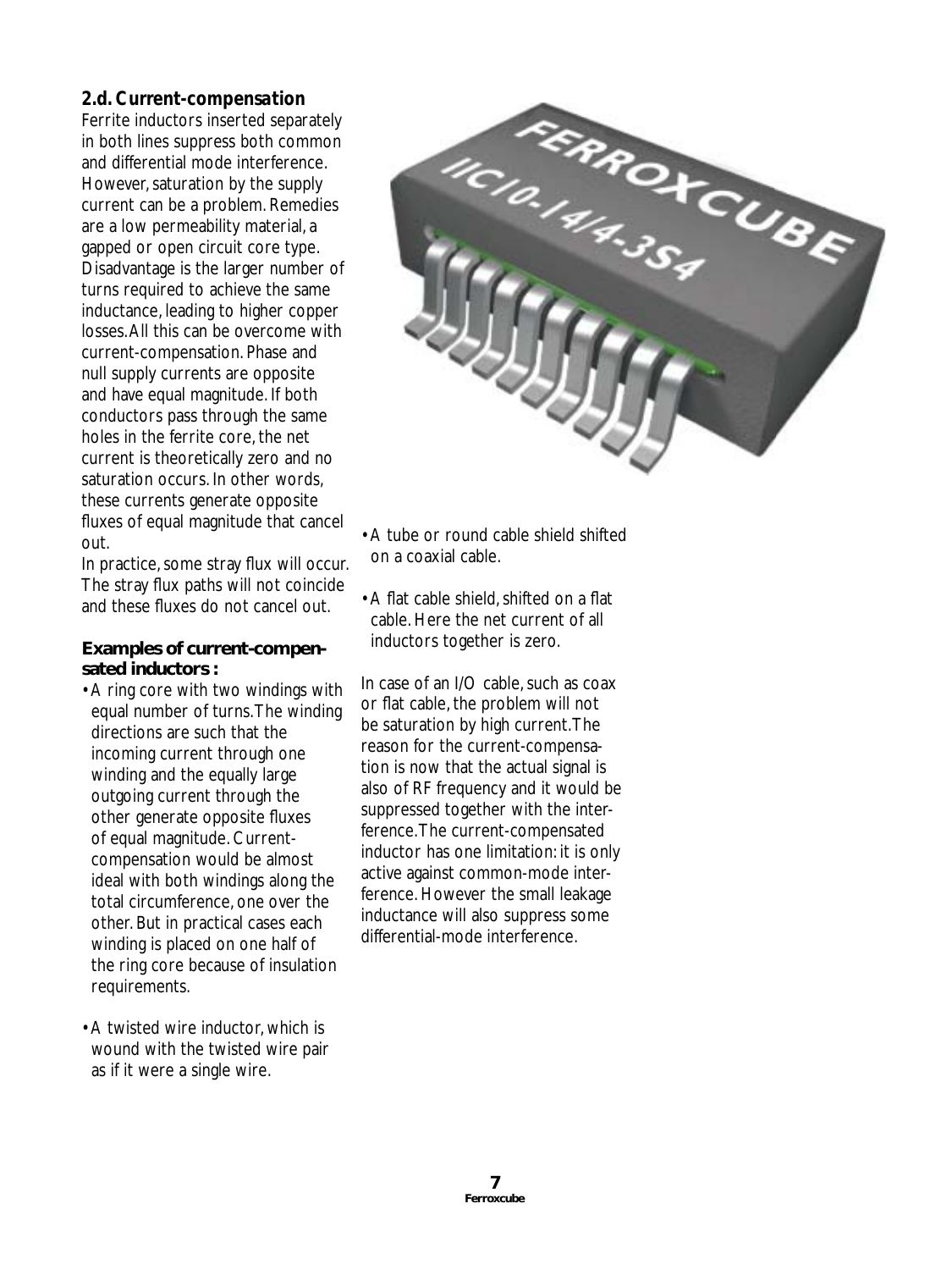#### *2.d. Current-compensation*

Ferrite inductors inserted separately in both lines suppress both common and differential mode interference. However, saturation by the supply current can be a problem. Remedies are a low permeability material, a gapped or open circuit core type. Disadvantage is the larger number of turns required to achieve the same inductance, leading to higher copper losses. All this can be overcome with current-compensation. Phase and null supply currents are opposite and have equal magnitude. If both conductors pass through the same holes in the ferrite core, the net current is theoretically zero and no saturation occurs. In other words, these currents generate opposite fluxes of equal magnitude that cancel out.

In practice, some stray flux will occur. The stray flux paths will not coincide and these fluxes do not cancel out.

#### **Examples of current-compensated inductors :**

- A ring core with two windings with equal number of turns. The winding directions are such that the incoming current through one winding and the equally large outgoing current through the other generate opposite fluxes of equal magnitude. Current compensation would be almost ideal with both windings along the total circumference, one over the other. But in practical cases each winding is placed on one half of the ring core because of insulation requirements.
- A twisted wire inductor, which is wound with the twisted wire pair as if it were a single wire.



- A tube or round cable shield shifted on a coaxial cable.
- A flat cable shield, shifted on a flat cable. Here the net current of all inductors together is zero.

In case of an I/O cable, such as coax or flat cable, the problem will not be saturation by high current. The reason for the current-compensation is now that the actual signal is also of RF frequency and it would be suppressed together with the interference. The current-compensated inductor has one limitation: it is only active against common-mode interference. However the small leakage inductance will also suppress some differential-mode interference.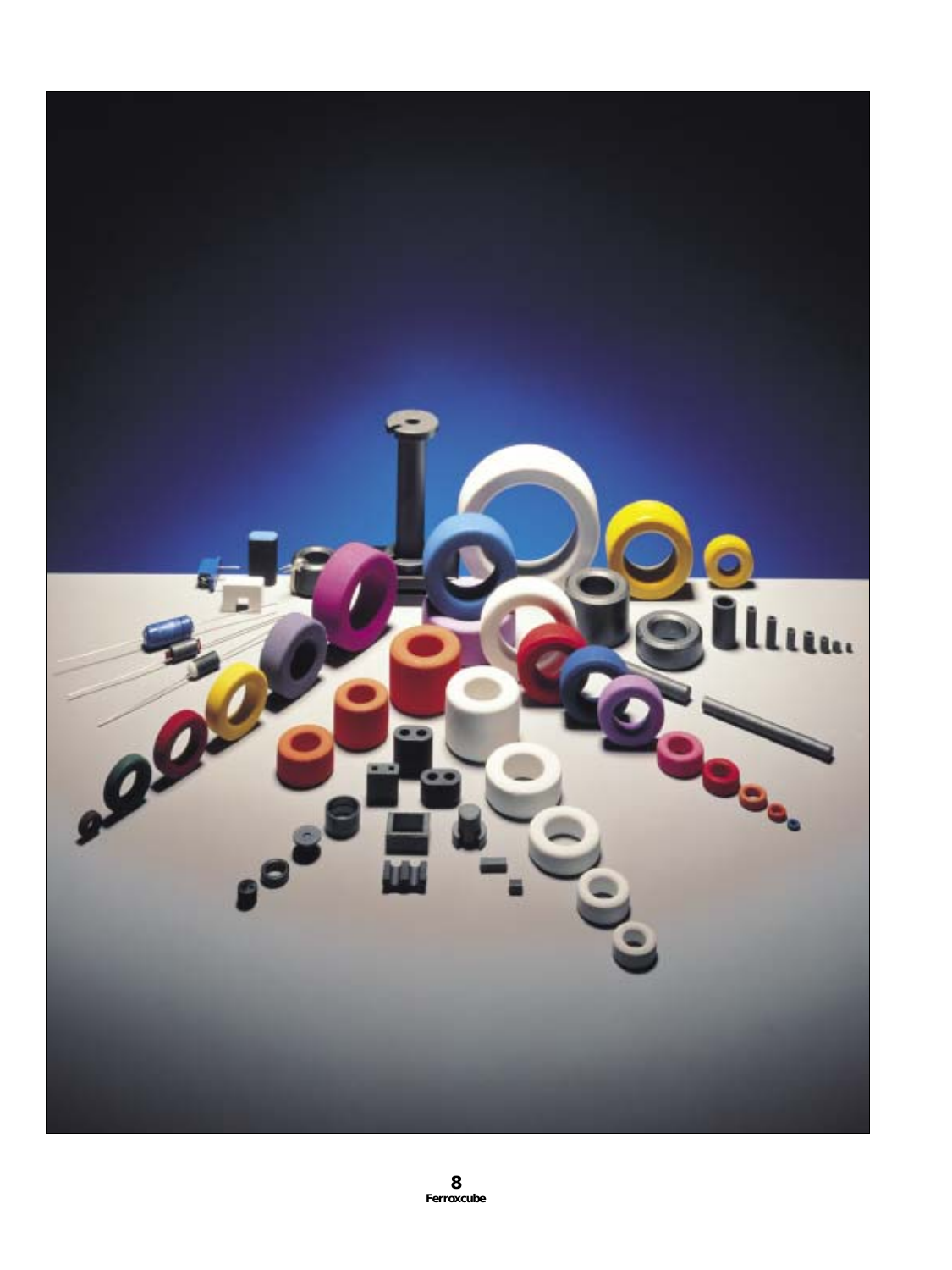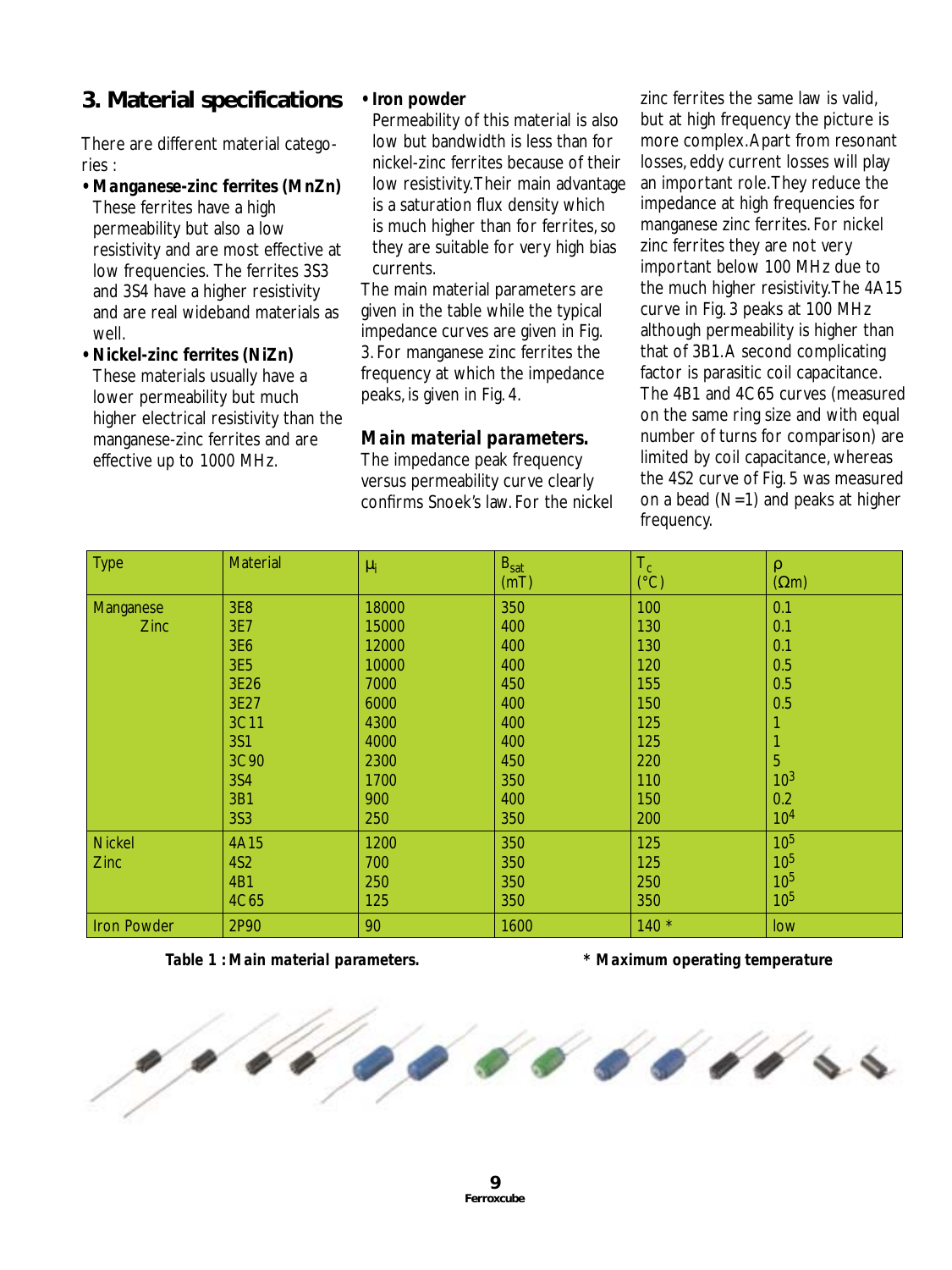### **3. Material specifications**

There are different material categories :

- *Manganese-zinc ferrites (MnZn)* These ferrites have a high permeability but also a low resistivity and are most effective at low frequencies. The ferrites 3S3 and 3S4 have a higher resistivity and are real wideband materials as well.
- *Nickel-zinc ferrites (NiZn)* These materials usually have a lower permeability but much higher electrical resistivity than the manganese-zinc ferrites and are effective up to 1000 MHz.

#### *• Iron powder*

Permeability of this material is also low but bandwidth is less than for nickel-zinc ferrites because of their low resistivity. Their main advantage is a saturation flux density which is much higher than for ferrites, so they are suitable for very high bias currents.

The main material parameters are given in the table while the typical impedance curves are given in Fig. 3. For manganese zinc ferrites the frequency at which the impedance peaks, is given in Fig. 4.

#### *Main material parameters.*

The impedance peak frequency versus permeability curve clearly confirms Snoek's law. For the nickel

zinc ferrites the same law is valid, but at high frequency the picture is more complex. Apart from resonant losses, eddy current losses will play an important role. They reduce the impedance at high frequencies for manganese zinc ferrites. For nickel zinc ferrites they are not very important below 100 MHz due to the much higher resistivity. The 4A15 curve in Fig. 3 peaks at 100 MHz although permeability is higher than that of 3B1. A second complicating factor is parasitic coil capacitance. The 4B1 and 4C65 curves (measured on the same ring size and with equal number of turns for comparison) are limited by coil capacitance, whereas the 4S2 curve of Fig. 5 was measured on a bead  $(N=1)$  and peaks at higher frequency.

| <b>Type</b>        | <b>Material</b> | $\mu_i$ | $B_{sat}$<br>(mT) | $T_c$<br>$(^{\circ}C)$ | ρ<br>$(\Omega m)$ |
|--------------------|-----------------|---------|-------------------|------------------------|-------------------|
| Manganese          | <b>3E8</b>      | 18000   | 350               | 100                    | 0.1               |
| Zinc               | 3E7             | 15000   | 400               | 130                    | 0.1               |
|                    | 3E6             | 12000   | 400               | 130                    | 0.1               |
|                    | <b>3E5</b>      | 10000   | 400               | 120                    | 0.5               |
|                    | 3E26            | 7000    | 450               | 155                    | 0.5               |
|                    | 3E27            | 6000    | 400               | 150                    | 0.5               |
|                    | 3C11            | 4300    | 400               | 125                    |                   |
|                    | <b>3S1</b>      | 4000    | 400               | 125                    |                   |
|                    | 3C90            | 2300    | 450               | 220                    | 5                 |
|                    | <b>3S4</b>      | 1700    | 350               | 110                    | 10 <sup>3</sup>   |
|                    | 3B1             | 900     | 400               | 150                    | 0.2               |
|                    | <b>3S3</b>      | 250     | 350               | 200                    | 10 <sup>4</sup>   |
| <b>Nickel</b>      | 4A15            | 1200    | 350               | 125                    | 10 <sup>5</sup>   |
| Zinc               | <b>4S2</b>      | 700     | 350               | 125                    | 10 <sup>5</sup>   |
|                    | 4B1             | 250     | 350               | 250                    | 10 <sup>5</sup>   |
|                    | 4C65            | 125     | 350               | 350                    | 10 <sup>5</sup>   |
| <b>Iron Powder</b> | 2P90            | 90      | 1600              | $140*$                 | low               |

*Table 1 : Main material parameters. \* Maximum operating temperature*

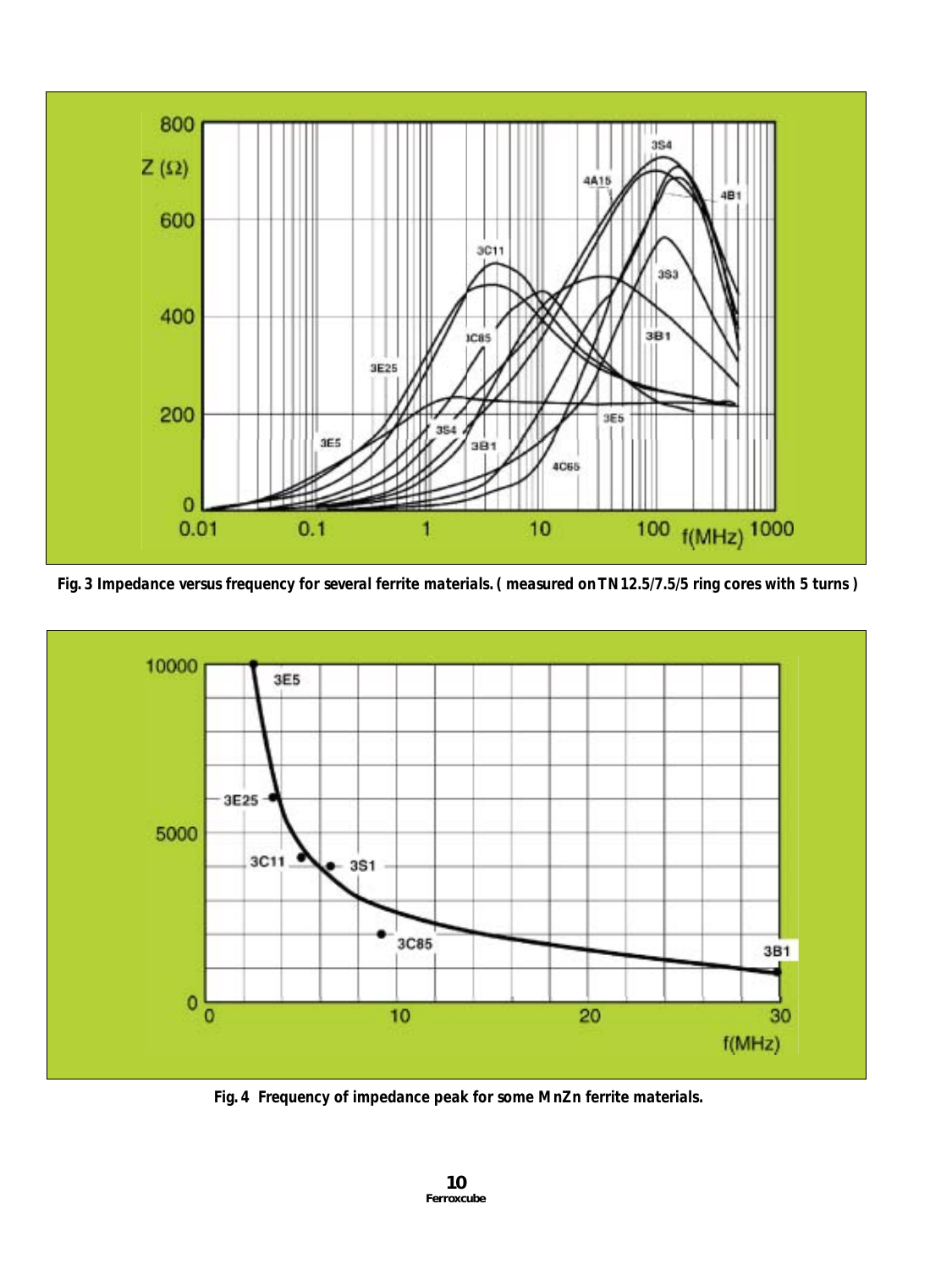

*Fig. 3 Impedance versus frequency for several ferrite materials. ( measured on TN12.5/7.5/5 ring cores with 5 turns )*



*Fig. 4 Frequency of impedance peak for some MnZn ferrite materials.*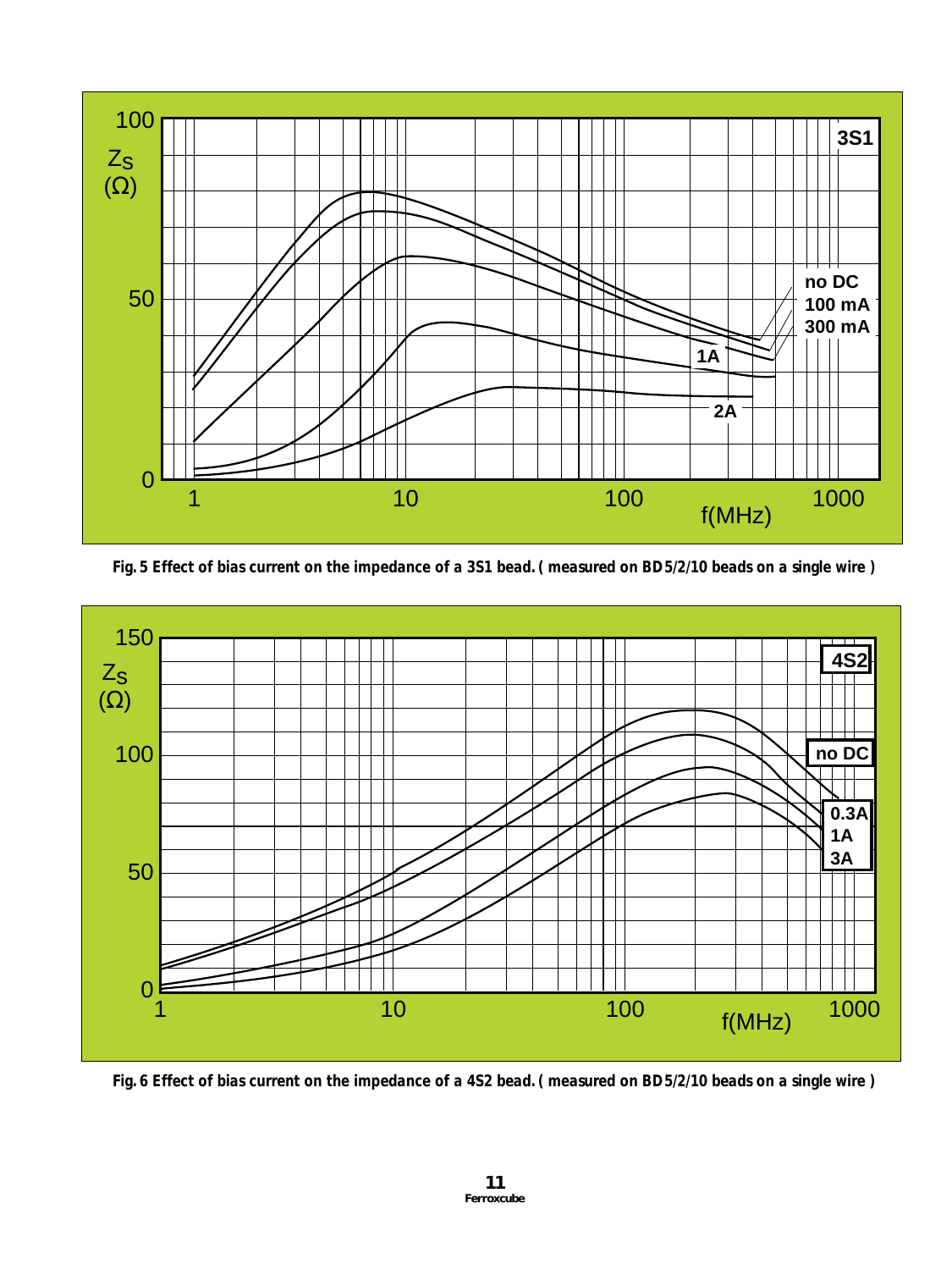

*Fig. 5 Effect of bias current on the impedance of a 3S1 bead. ( measured on BD5/2/10 beads on a single wire )*



*Fig. 6 Effect of bias current on the impedance of a 4S2 bead. ( measured on BD5/2/10 beads on a single wire )*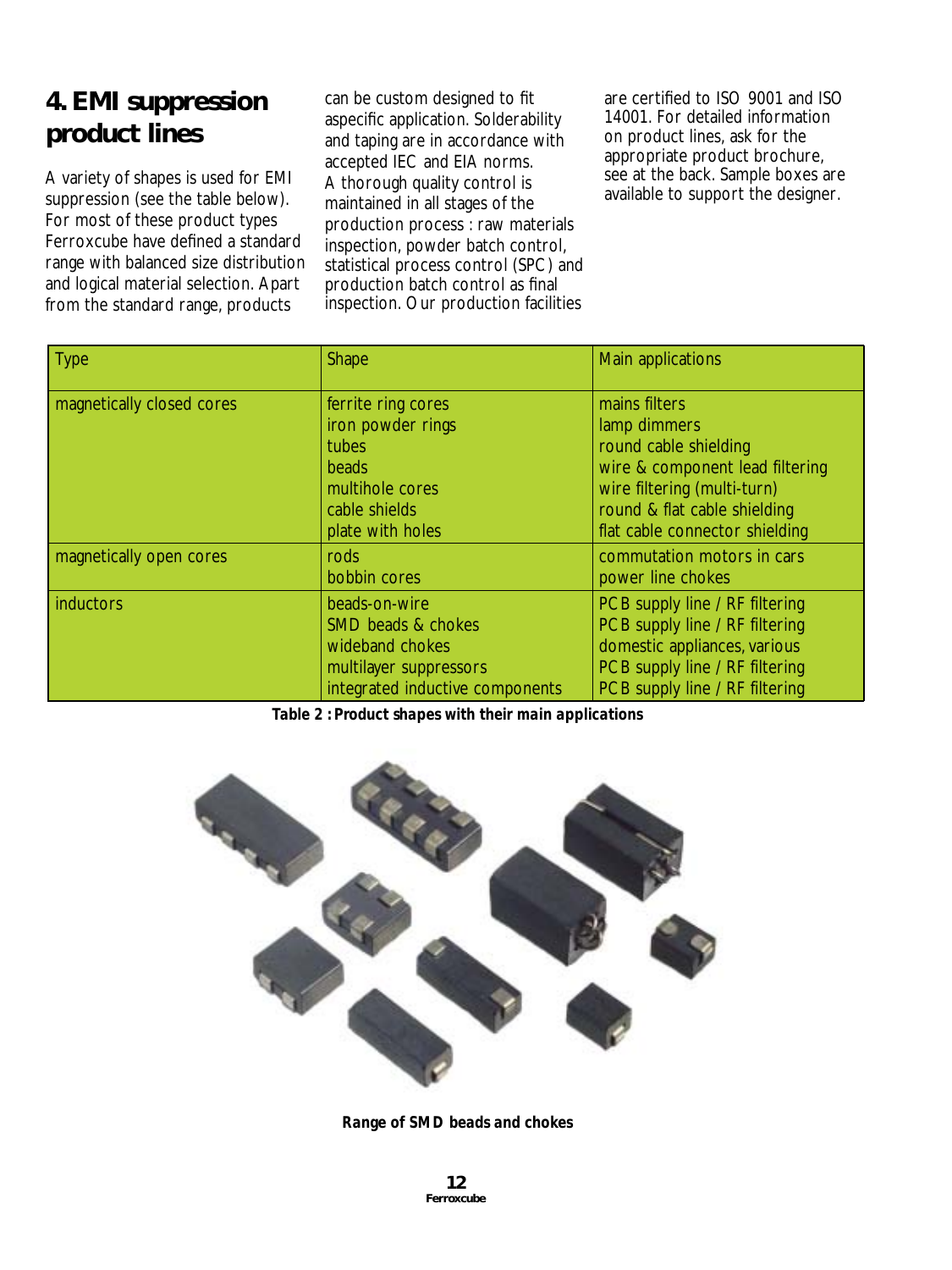## **4. EMI suppression product lines**

A variety of shapes is used for EMI suppression (see the table below). For most of these product types Ferroxcube have defined a standard range with balanced size distribution and logical material selection. Apart from the standard range, products

can be custom designed to fit aspecific application. Solderability and taping are in accordance with accepted IEC and EIA norms. A thorough quality control is maintained in all stages of the production process : raw materials inspection, powder batch control, statistical process control (SPC) and production batch control as final inspection. Our production facilities

are certified to ISO 9001 and ISO 14001. For detailed information on product lines, ask for the appropriate product brochure, see at the back. Sample boxes are available to support the designer.

| $\sqrt{ }$ Type           | <b>Shape</b>                                                                                                        | <b>Main applications</b>                                                                                                                                                                   |
|---------------------------|---------------------------------------------------------------------------------------------------------------------|--------------------------------------------------------------------------------------------------------------------------------------------------------------------------------------------|
| magnetically closed cores | ferrite ring cores<br>iron powder rings<br>tubes<br>beads<br>multihole cores<br>cable shields<br>plate with holes   | mains filters<br>lamp dimmers<br>round cable shielding<br>wire & component lead filtering<br>wire filtering (multi-turn)<br>round & flat cable shielding<br>flat cable connector shielding |
| magnetically open cores   | rods<br>bobbin cores                                                                                                | commutation motors in cars<br>power line chokes                                                                                                                                            |
| l inductors               | beads-on-wire<br>SMD beads & chokes<br>wideband chokes<br>multilayer suppressors<br>integrated inductive components | PCB supply line / RF filtering<br>PCB supply line / RF filtering<br>domestic appliances, various<br>PCB supply line / RF filtering<br>PCB supply line / RF filtering                       |

*Table 2 : Product shapes with their main applications*



*Range of SMD beads and chokes*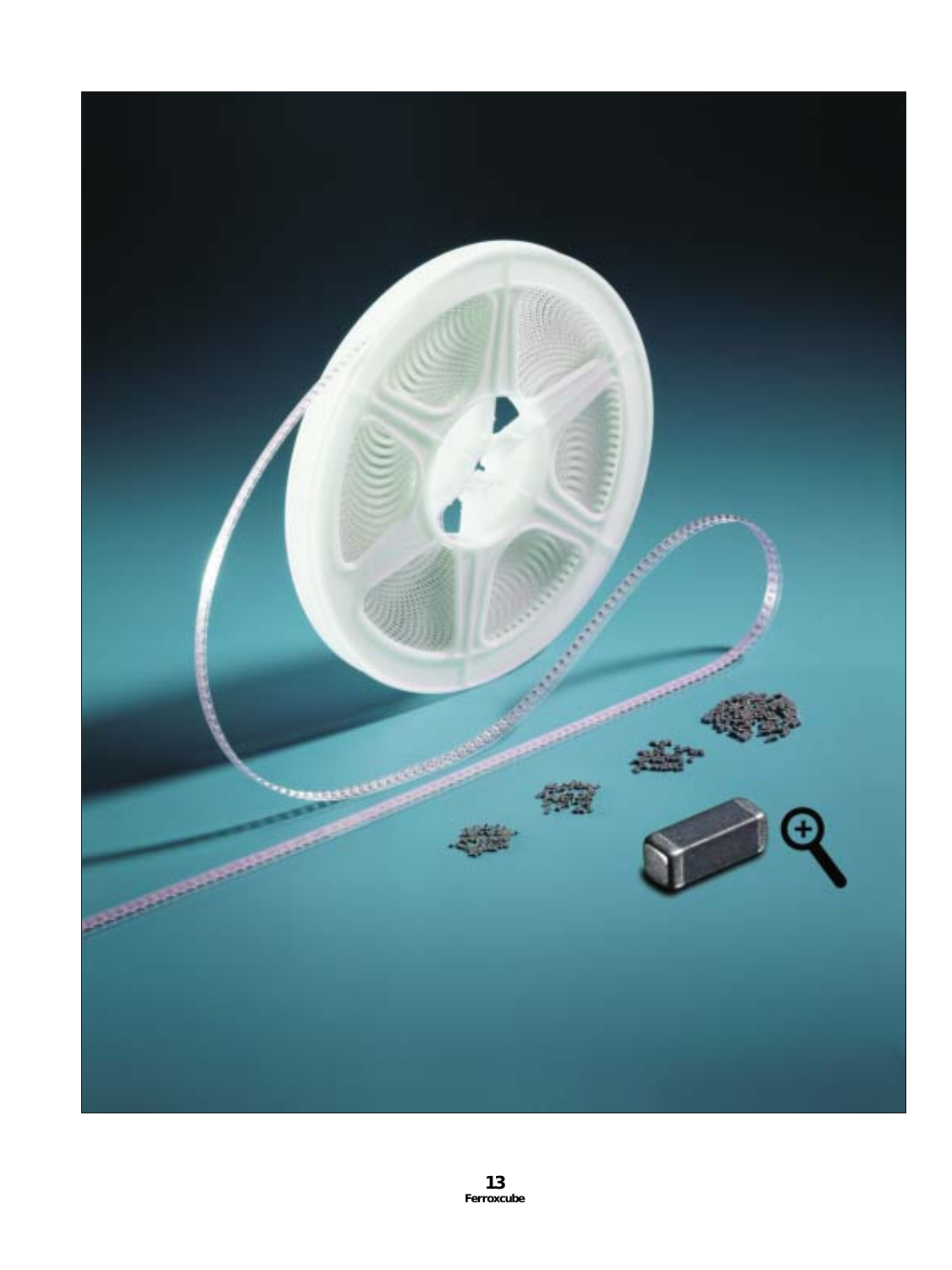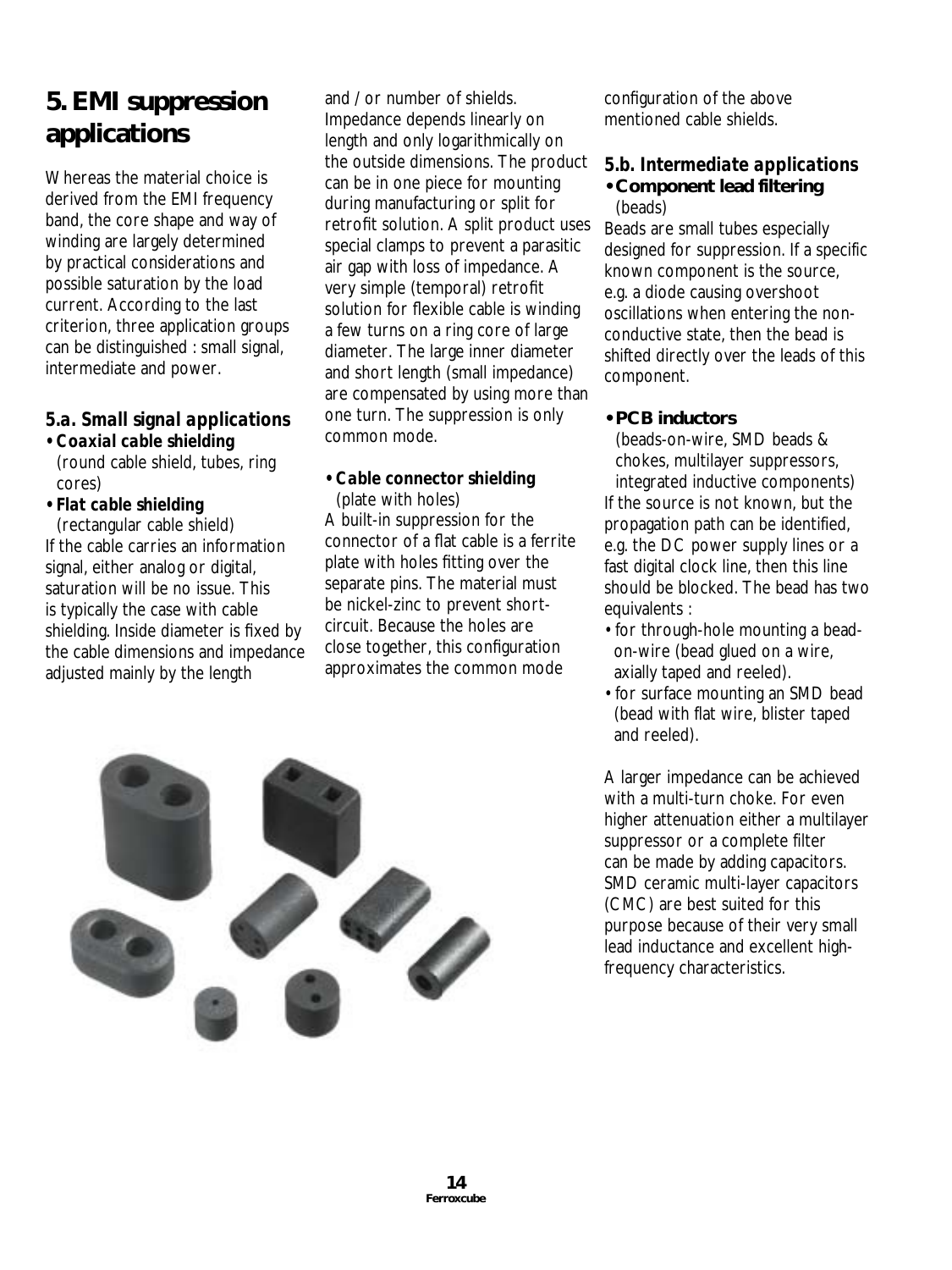## **5. EMI suppression applications**

Whereas the material choice is derived from the EMI frequency band, the core shape and way of winding are largely determined by practical considerations and possible saturation by the load current. According to the last criterion, three application groups can be distinguished : small signal, intermediate and power.

#### *5.a. Small signal applications*

*• Coaxial cable shielding*

(round cable shield, tubes, ring cores)

*• Flat cable shielding*

(rectangular cable shield) If the cable carries an information signal, either analog or digital, saturation will be no issue. This is typically the case with cable shielding. Inside diameter is fixed by the cable dimensions and impedance adjusted mainly by the length

and / or number of shields. Impedance depends linearly on length and only logarithmically on the outside dimensions. The product can be in one piece for mounting during manufacturing or split for retrofit solution. A split product uses special clamps to prevent a parasitic air gap with loss of impedance. A very simple (temporal) retrofit solution for flexible cable is winding a few turns on a ring core of large diameter. The large inner diameter and short length (small impedance) are compensated by using more than one turn. The suppression is only common mode.

#### *• Cable connector shielding* (plate with holes)

A built-in suppression for the connector of a flat cable is a ferrite plate with holes fitting over the separate pins. The material must be nickel-zinc to prevent shortcircuit. Because the holes are close together, this configuration approximates the common mode

configuration of the above mentioned cable shields.

#### *5.b. Intermediate applications* **• Component lead filtering** (beads)

Beads are small tubes especially designed for suppression. If a specific known component is the source, e.g. a diode causing overshoot oscillations when entering the nonconductive state, then the bead is shifted directly over the leads of this component.

#### **• PCB inductors**

(beads-on-wire, SMD beads & chokes, multilayer suppressors,

integrated inductive components) If the source is not known, but the propagation path can be identified, e.g. the DC power supply lines or a fast digital clock line, then this line should be blocked. The bead has two equivalents :

- for through-hole mounting a bead on-wire (bead glued on a wire, axially taped and reeled).
- for surface mounting an SMD bead (bead with flat wire, blister taped and reeled).

A larger impedance can be achieved with a multi-turn choke. For even higher attenuation either a multilayer suppressor or a complete filter can be made by adding capacitors. SMD ceramic multi-layer capacitors (CMC) are best suited for this purpose because of their very small lead inductance and excellent highfrequency characteristics.

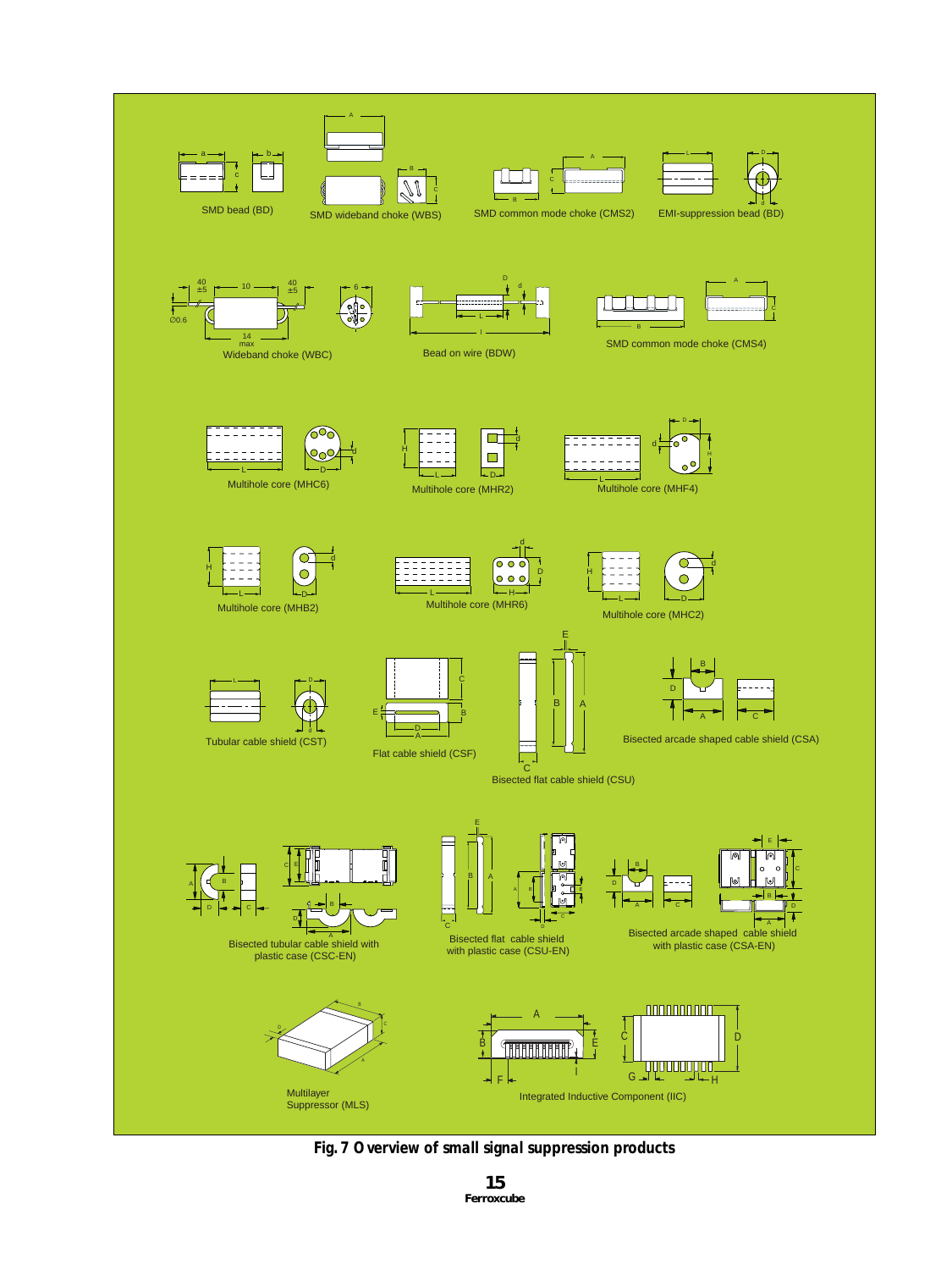

*Fig. 7 Overview of small signal suppression products*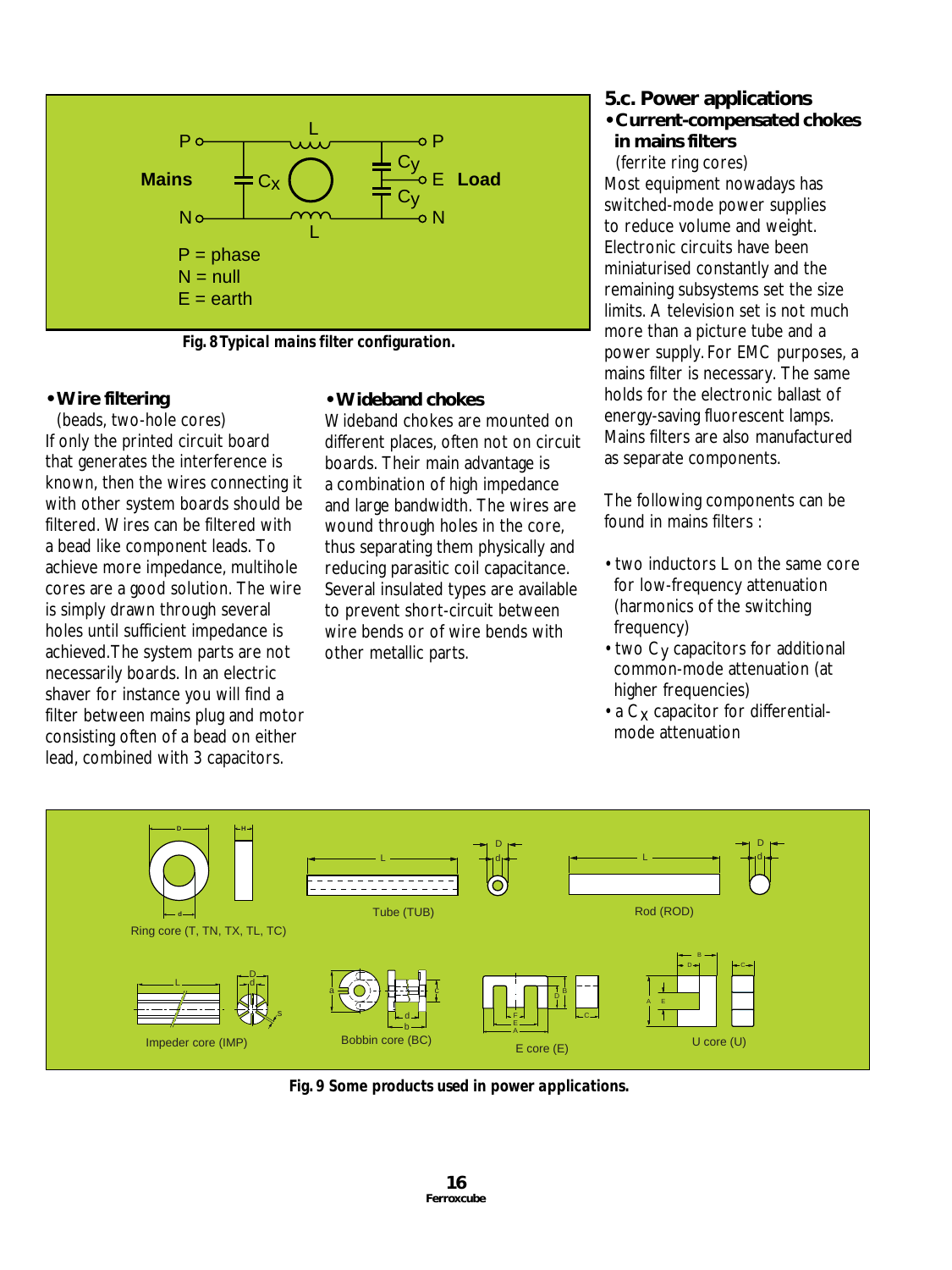

*Fig. 8 Typical mains filter configuration.*

#### **• Wire filtering**

(beads, two-hole cores) If only the printed circuit board that generates the interference is known, then the wires connecting it with other system boards should be filtered. Wires can be filtered with a bead like component leads. To achieve more impedance, multihole cores are a good solution. The wire is simply drawn through several holes until sufficient impedance is achieved. The system parts are not necessarily boards. In an electric shaver for instance you will find a filter between mains plug and motor consisting often of a bead on either lead, combined with 3 capacitors.

#### **• Wideband chokes**

Wideband chokes are mounted on different places, often not on circuit boards. Their main advantage is a combination of high impedance and large bandwidth. The wires are wound through holes in the core, thus separating them physically and reducing parasitic coil capacitance. Several insulated types are available to prevent short-circuit between wire bends or of wire bends with other metallic parts.

#### **5.c. Power applications**

#### **• Current-compensated chokes in mains filters**

(ferrite ring cores) Most equipment nowadays has switched-mode power supplies to reduce volume and weight. Electronic circuits have been miniaturised constantly and the remaining subsystems set the size limits. A television set is not much more than a picture tube and a power supply. For EMC purposes, a mains filter is necessary. The same holds for the electronic ballast of energy-saving fluorescent lamps. Mains filters are also manufactured as separate components.

The following components can be found in mains filters :

- two inductors L on the same core for low-frequency attenuation (harmonics of the switching frequency)
- two Cy capacitors for additional common-mode attenuation (at higher frequencies)
- $\cdot$  a C<sub>x</sub> capacitor for differentialmode attenuation



*Fig. 9 Some products used in power applications.*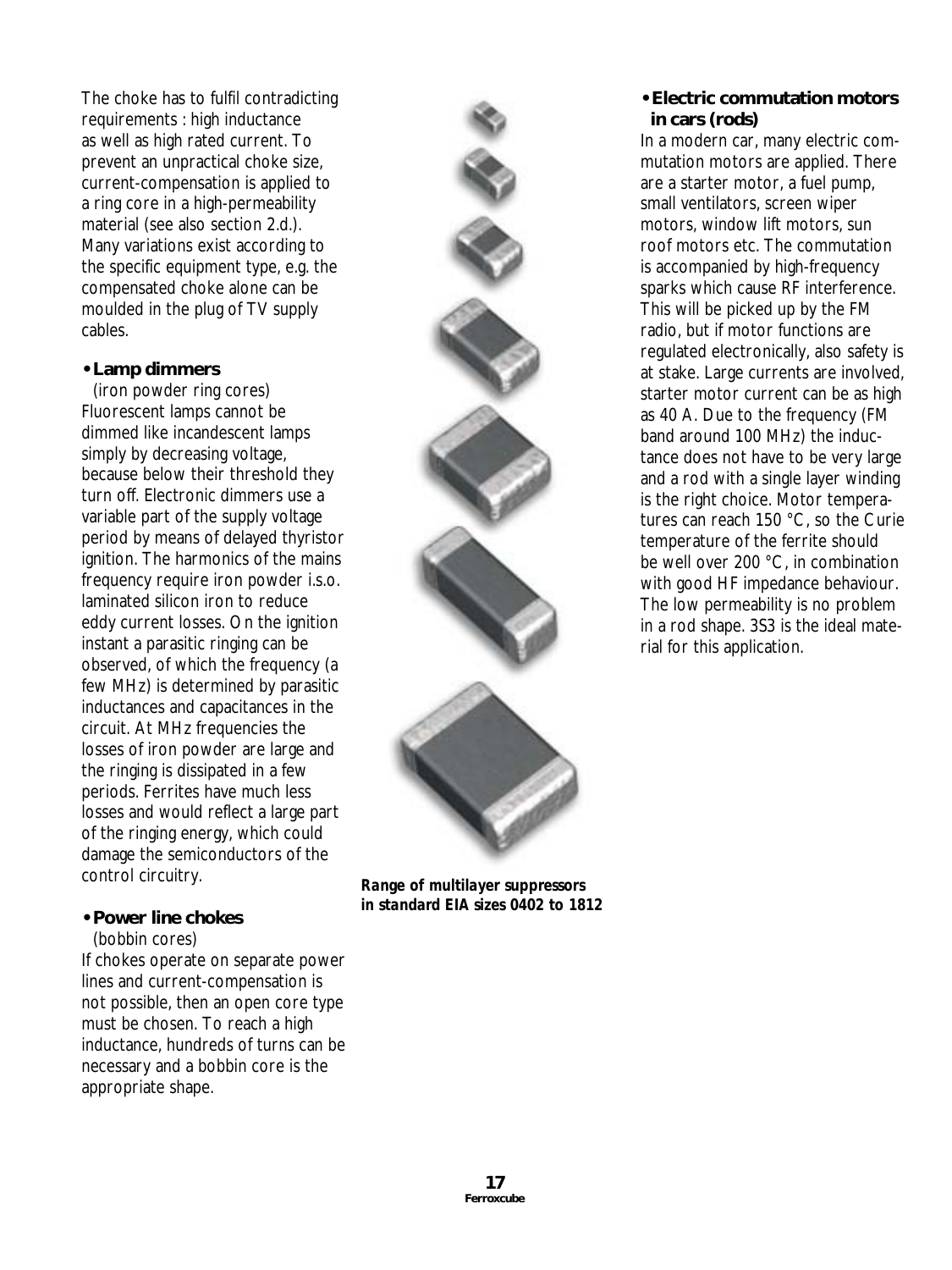The choke has to fulfil contradicting requirements : high inductance as well as high rated current. To prevent an unpractical choke size, current-compensation is applied to a ring core in a high-permeability material (see also section 2.d.). Many variations exist according to the specific equipment type, e.g. the compensated choke alone can be moulded in the plug of TV supply cables.

#### **• Lamp dimmers**

(iron powder ring cores) Fluorescent lamps cannot be dimmed like incandescent lamps simply by decreasing voltage, because below their threshold they turn off. Electronic dimmers use a variable part of the supply voltage period by means of delayed thyristor ignition. The harmonics of the mains frequency require iron powder i.s.o. laminated silicon iron to reduce eddy current losses. On the ignition instant a parasitic ringing can be observed, of which the frequency (a few MHz) is determined by parasitic inductances and capacitances in the circuit. At MHz frequencies the losses of iron powder are large and the ringing is dissipated in a few periods. Ferrites have much less losses and would reflect a large part of the ringing energy, which could damage the semiconductors of the control circuitry.

#### **• Power line chokes**

(bobbin cores)

If chokes operate on separate power lines and current-compensation is not possible, then an open core type must be chosen. To reach a high inductance, hundreds of turns can be necessary and a bobbin core is the appropriate shape.



*Range of multilayer suppressors in standard EIA sizes 0402 to 1812*

#### **• Electric commutation motors in cars (rods)**

In a modern car, many electric commutation motors are applied. There are a starter motor, a fuel pump, small ventilators, screen wiper motors, window lift motors, sun roof motors etc. The commutation is accompanied by high-frequency sparks which cause RF interference. This will be picked up by the FM radio, but if motor functions are regulated electronically, also safety is at stake. Large currents are involved, starter motor current can be as high as 40 A. Due to the frequency (FM band around 100 MHz) the inductance does not have to be very large and a rod with a single layer winding is the right choice. Motor temperatures can reach 150 °C, so the Curie temperature of the ferrite should be well over 200 °C, in combination with good HF impedance behaviour. The low permeability is no problem in a rod shape. 3S3 is the ideal material for this application.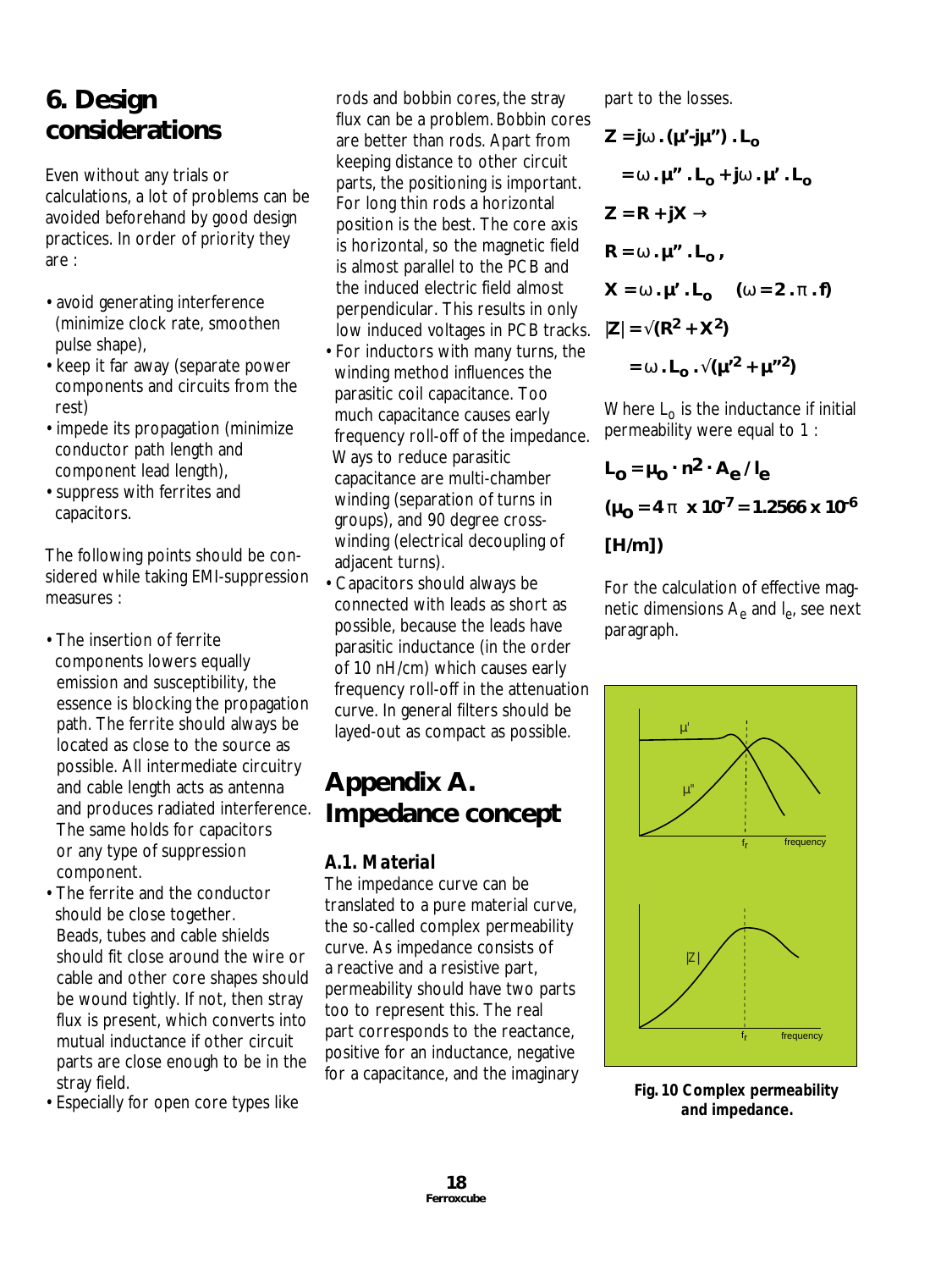### **6. Design considerations**

Even without any trials or calculations, a lot of problems can be avoided beforehand by good design practices. In order of priority they are :

- avoid generating interference (minimize clock rate, smoothen pulse shape),
- keep it far away (separate power components and circuits from the rest)
- impede its propagation (minimize conductor path length and component lead length),
- suppress with ferrites and capacitors.

The following points should be considered while taking EMI-suppression measures :

- The insertion of ferrite components lowers equally emission and susceptibility, the essence is blocking the propagation path. The ferrite should always be located as close to the source as possible. All intermediate circuitry and cable length acts as antenna and produces radiated interference. The same holds for capacitors or any type of suppression component.
- The ferrite and the conductor should be close together. Beads, tubes and cable shields should fit close around the wire or cable and other core shapes should be wound tightly. If not, then stray flux is present, which converts into mutual inductance if other circuit parts are close enough to be in the stray field.
- Especially for open core types like

rods and bobbin cores, the stray flux can be a problem. Bobbin cores are better than rods. Apart from keeping distance to other circuit parts, the positioning is important. For long thin rods a horizontal position is the best. The core axis is horizontal, so the magnetic field is almost parallel to the PCB and the induced electric field almost perpendicular. This results in only  $\frac{1}{2}$  induced voltages in PCB tracks.  $|Z| = \sqrt{(R^2 + X^2)}$ 

- For inductors with many turns, the winding method influences the parasitic coil capacitance. Too much capacitance causes early frequency roll-off of the impedance. Ways to reduce parasitic capacitance are multi-chamber winding (separation of turns in groups), and 90 degree cross winding (electrical decoupling of adiacent turns).
- Capacitors should always be connected with leads as short as possible, because the leads have parasitic inductance (in the order of 10 nH/cm) which causes early frequency roll-off in the attenuation curve. In general filters should be layed-out as compact as possible.

## **Appendix A. Impedance concept**

#### *A.1. Material*

The impedance curve can be translated to a pure material curve, the so-called complex permeability curve. As impedance consists of a reactive and a resistive part, permeability should have two parts too to represent this. The real part corresponds to the reactance, positive for an inductance, negative for a capacitance, and the imaginary part to the losses.

 $Z = j\omega \cdot (\mu' - j\mu'')$ . L<sub>o</sub>  $= \omega \cdot \mu'' \cdot L_0 + j\omega \cdot \mu' \cdot L_0$  $Z = R + jX \rightarrow$  $R = \omega \cdot \mu'' \cdot L_{0}$  $X = \omega \cdot \mu' \cdot L_0$  ( $\omega = 2 \cdot \pi \cdot f$ )  $= \omega$ . **L**<sub>0</sub>.  $\sqrt{(u'^2 + u''^2)}$ 

Where  $L_0$  is the inductance if initial permeability were equal to 1 :

$$
L_0 = \mu_0 \cdot n^2 \cdot A_e / I_e
$$
  
( $\mu_0 = 4 \pi \times 10^{-7} = 1.2566 \times 10^{-6}$   
[H/m])

For the calculation of effective magnetic dimensions  $A_{\rho}$  and  $I_{\rho}$ , see next paragraph.



*Fig. 10 Complex permeability and impedance.*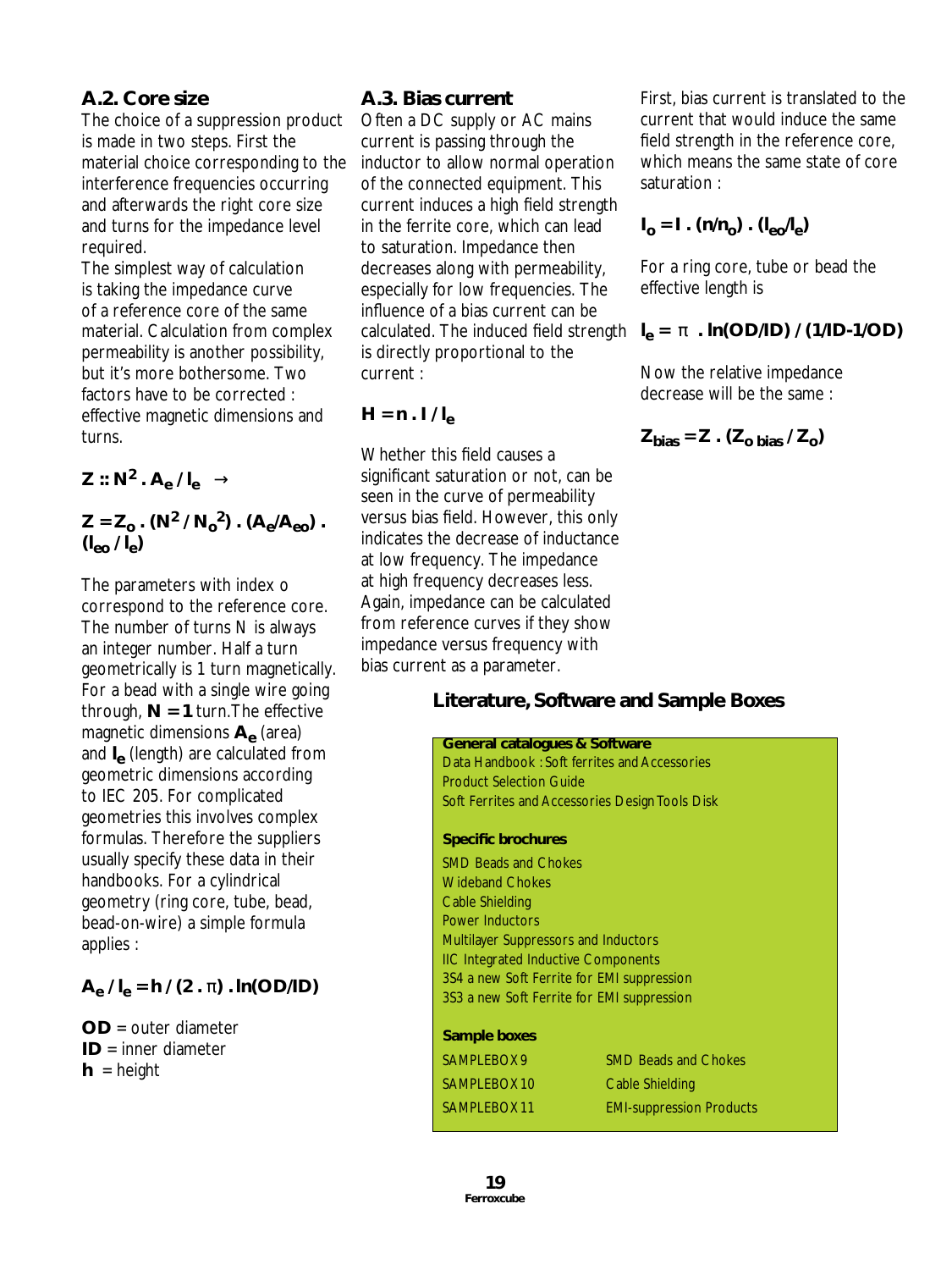#### **A.2. Core size**

The choice of a suppression product is made in two steps. First the material choice corresponding to the interference frequencies occurring and afterwards the right core size and turns for the impedance level required.

The simplest way of calculation is taking the impedance curve of a reference core of the same material. Calculation from complex permeability is another possibility, but it's more bothersome. Two factors have to be corrected : effective magnetic dimensions and turns.

 $Z :: N^2 . A_{\alpha} / I_{\alpha} \rightarrow$ 

#### $Z = Z_0$ . (N<sup>2</sup> / N<sub>0</sub><sup>2</sup>). (A<sub>e</sub>/A<sub>eo</sub>).  $(I_{\rho\Omega}/\tilde{I_{\rho}})$

The parameters with index o correspond to the reference core. The number of turns N is always an integer number. Half a turn geometrically is 1 turn magnetically. For a bead with a single wire going through,  $N = 1$  turn. The effective magnetic dimensions  $A_{\alpha}$  (area) and **le** (length) are calculated from geometric dimensions according to IEC 205. For complicated geometries this involves complex formulas. Therefore the suppliers usually specify these data in their handbooks. For a cylindrical geometry (ring core, tube, bead, bead-on-wire) a simple formula applies :

 $A_{\rm e}$  /  $I_{\rm e}$  = h / (2 .  $\pi$ ) . ln(OD/ID)

**OD** = outer diameter  $ID = inner diameter$  $h =$  height

#### **A.3. Bias current**

Often a DC supply or AC mains current is passing through the inductor to allow normal operation of the connected equipment. This current induces a high field strength in the ferrite core, which can lead to saturation. Impedance then decreases along with permeability, especially for low frequencies. The influence of a bias current can be calculated. The induced field strength is directly proportional to the current :

 $H = n \cdot 1 / I_e$ 

Whether this field causes a significant saturation or not, can be seen in the curve of permeability versus bias field. However, this only indicates the decrease of inductance at low frequency. The impedance at high frequency decreases less. Again, impedance can be calculated from reference curves if they show impedance versus frequency with bias current as a parameter.

#### **Literature, Software and Sample Boxes**

#### **General catalogues & Software** Data Handbook : Soft ferrites and Accessories Product Selection Guide Soft Ferrites and Accessories Design Tools Disk **Specific brochures** SMD Beads and Chokes Wideband Chokes Cable Shielding Power Inductors Multilayer Suppressors and Inductors IIC Integrated Inductive Components 3S4 a new Soft Ferrite for EMI suppression 3S3 a new Soft Ferrite for EMI suppression **Sample boxes** SAMPLEBOX9 SMD Beads and Chokes SAMPLEBOX10 Cable Shielding SAMPLEBOX11 EMI-suppression Products

First, bias current is translated to the current that would induce the same field strength in the reference core, which means the same state of core saturation :

#### $I_{\Omega} = I \cdot (n/n_{\Omega}) \cdot (I_{\rho 0}/I_{\rho})$

For a ring core, tube or bead the effective length is

#### **le =** π **. ln(OD/ID) / (1/ID-1/OD)**

Now the relative impedance decrease will be the same :

$$
Z_{bias} = Z \cdot (Z_{o \, bias} / Z_{o})
$$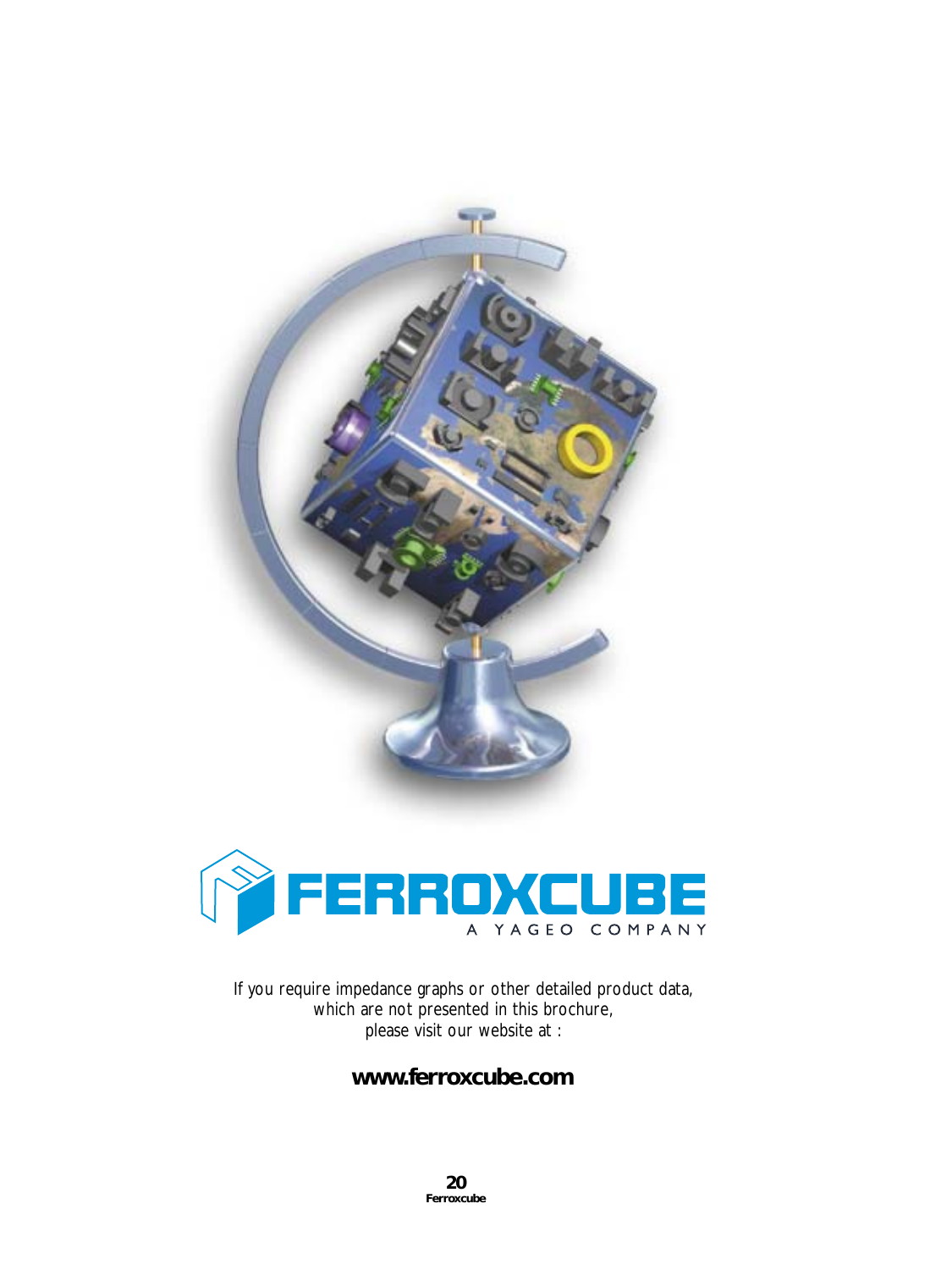



If you require impedance graphs or other detailed product data, which are not presented in this brochure, please visit our website at :

### **www.ferroxcube.com**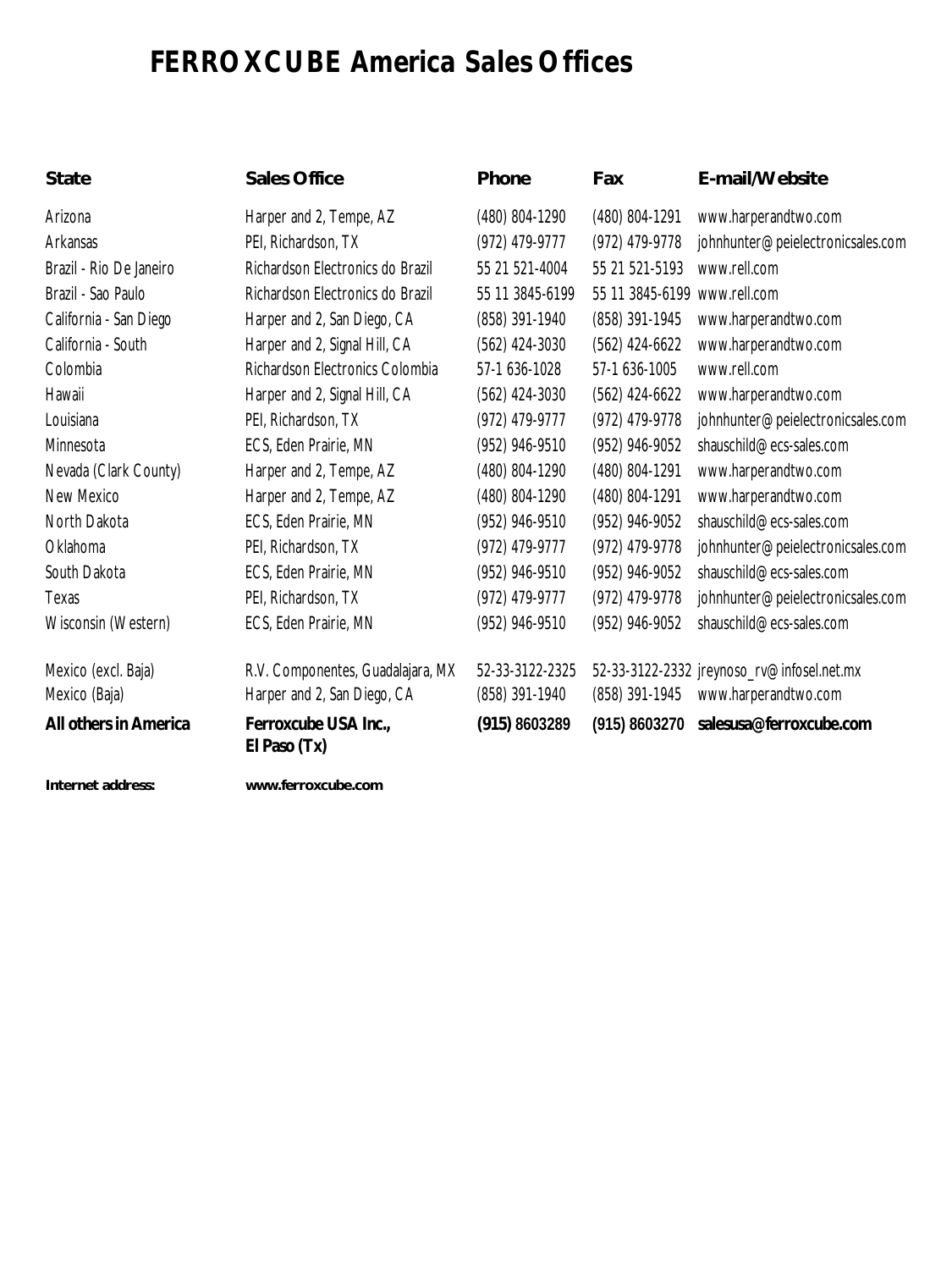# *FERROXCUBE America Sales Offices*

| <b>State</b>            | <b>Sales Office</b>                  | Phone            | Fax              | E-mail/Website                             |
|-------------------------|--------------------------------------|------------------|------------------|--------------------------------------------|
| Arizona                 | Harper and 2, Tempe, AZ              | (480) 804-1290   | (480) 804-1291   | www.harperandtwo.com                       |
| Arkansas                | PEI, Richardson, TX                  | (972) 479-9777   | (972) 479-9778   | johnhunter@peielectronicsales.com          |
| Brazil - Rio De Janeiro | Richardson Electronics do Brazil     | 55 21 521-4004   | 55 21 521-5193   | www.rell.com                               |
| Brazil - Sao Paulo      | Richardson Electronics do Brazil     | 55 11 3845-6199  | 55 11 3845-6199  | www.rell.com                               |
| California - San Diego  | Harper and 2, San Diego, CA          | (858) 391-1940   | (858) 391-1945   | www.harperandtwo.com                       |
| California - South      | Harper and 2, Signal Hill, CA        | $(562)$ 424-3030 | $(562)$ 424-6622 | www.harperandtwo.com                       |
| Colombia                | Richardson Electronics Colombia      | 57-1 636-1028    | 57-1 636-1005    | www.rell.com                               |
| Hawaii                  | Harper and 2, Signal Hill, CA        | $(562)$ 424-3030 | $(562)$ 424-6622 | www.harperandtwo.com                       |
| Louisiana               | PEI, Richardson, TX                  | (972) 479-9777   | (972) 479-9778   | johnhunter@peielectronicsales.com          |
| Minnesota               | ECS, Eden Prairie, MN                | (952) 946-9510   | (952) 946-9052   | shauschild@ecs-sales.com                   |
| Nevada (Clark County)   | Harper and 2, Tempe, AZ              | (480) 804-1290   | (480) 804-1291   | www.harperandtwo.com                       |
| New Mexico              | Harper and 2, Tempe, AZ              | (480) 804-1290   | (480) 804-1291   | www.harperandtwo.com                       |
| North Dakota            | ECS, Eden Prairie, MN                | (952) 946-9510   | (952) 946-9052   | shauschild@ecs-sales.com                   |
| Oklahoma                | PEI, Richardson, TX                  | (972) 479-9777   | (972) 479-9778   | johnhunter@peielectronicsales.com          |
| South Dakota            | ECS, Eden Prairie, MN                | (952) 946-9510   | (952) 946-9052   | shauschild@ecs-sales.com                   |
| Texas                   | PEI, Richardson, TX                  | (972) 479-9777   | (972) 479-9778   | johnhunter@peielectronicsales.com          |
| Wisconsin (Western)     | ECS, Eden Prairie, MN                | (952) 946-9510   | (952) 946-9052   | shauschild@ecs-sales.com                   |
| Mexico (excl. Baja)     | R.V. Componentes, Guadalajara, MX    | 52-33-3122-2325  |                  | 52-33-3122-2332 jreynoso_rv@infosel.net.mx |
| Mexico (Baja)           | Harper and 2, San Diego, CA          | (858) 391-1940   | (858) 391-1945   | www.harperandtwo.com                       |
| All others in America   | Ferroxcube USA Inc.,<br>El Paso (Tx) | (915) 8603289    | (915) 8603270    | salesusa@ferroxcube.com                    |
| Internet address:       | www.ferroxcube.com                   |                  |                  |                                            |